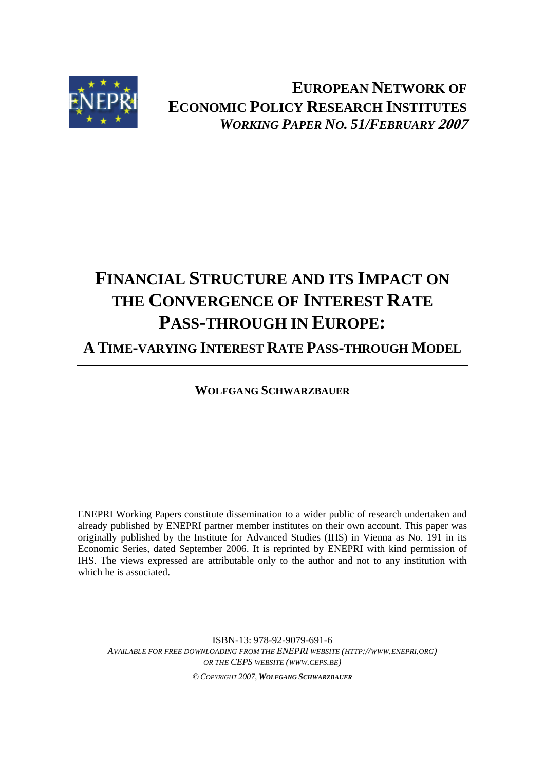

**EUROPEAN NETWORK OF ECONOMIC POLICY RESEARCH INSTITUTES** *WORKING PAPER NO. 51/FEBRUARY* **2007**

# **FINANCIAL STRUCTURE AND ITS IMPACT ON THE CONVERGENCE OF INTEREST RATE PASS-THROUGH IN EUROPE:**

**A TIME-VARYING INTEREST RATE PASS-THROUGH MODEL**

**WOLFGANG SCHWARZBAUER**

ENEPRI Working Papers constitute dissemination to a wider public of research undertaken and already published by ENEPRI partner member institutes on their own account. This paper was originally published by the Institute for Advanced Studies (IHS) in Vienna as No. 191 in its Economic Series, dated September 2006. It is reprinted by ENEPRI with kind permission of IHS. The views expressed are attributable only to the author and not to any institution with which he is associated.

ISBN-13: 978-92-9079-691-6 *AVAILABLE FOR FREE DOWNLOADING FROM THE ENEPRI WEBSITE (HTTP://WWW.ENEPRI.ORG) OR THE CEPS WEBSITE (WWW.CEPS.BE) © COPYRIGHT 2007, WOLFGANG SCHWARZBAUER*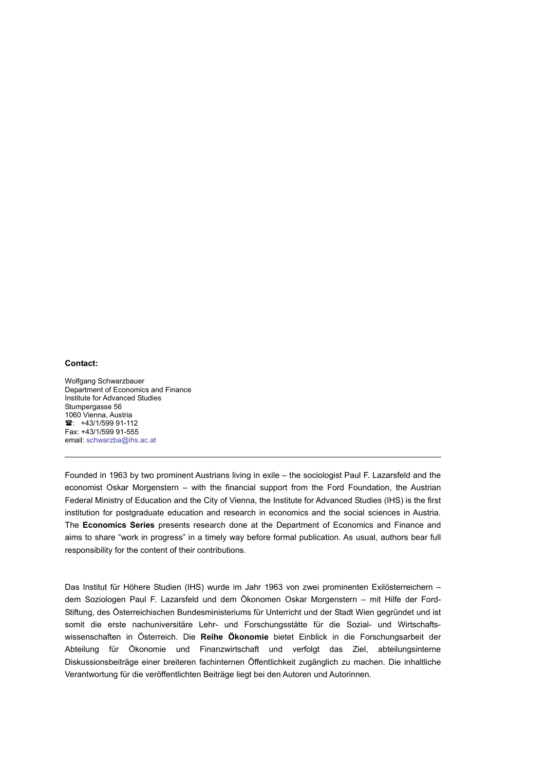#### **Contact:**

Wolfgang Schwarzbauer Department of Economics and Finance Institute for Advanced Studies Stumpergasse 56 1060 Vienna, Austria <sup>2</sup>: +43/1/599 91-112 Fax: +43/1/599 91-555 email: schwarzba@ihs.ac.at

Founded in 1963 by two prominent Austrians living in exile – the sociologist Paul F. Lazarsfeld and the economist Oskar Morgenstern – with the financial support from the Ford Foundation, the Austrian Federal Ministry of Education and the City of Vienna, the Institute for Advanced Studies (IHS) is the first institution for postgraduate education and research in economics and the social sciences in Austria. The **Economics Series** presents research done at the Department of Economics and Finance and aims to share "work in progress" in a timely way before formal publication. As usual, authors bear full responsibility for the content of their contributions.

Das Institut für Höhere Studien (IHS) wurde im Jahr 1963 von zwei prominenten Exilösterreichern – dem Soziologen Paul F. Lazarsfeld und dem Ökonomen Oskar Morgenstern – mit Hilfe der Ford-Stiftung, des Österreichischen Bundesministeriums für Unterricht und der Stadt Wien gegründet und ist somit die erste nachuniversitäre Lehr- und Forschungsstätte für die Sozial- und Wirtschaftswissenschaften in Österreich. Die **Reihe Ökonomie** bietet Einblick in die Forschungsarbeit der Abteilung für Ökonomie und Finanzwirtschaft und verfolgt das Ziel, abteilungsinterne Diskussionsbeiträge einer breiteren fachinternen Öffentlichkeit zugänglich zu machen. Die inhaltliche Verantwortung für die veröffentlichten Beiträge liegt bei den Autoren und Autorinnen.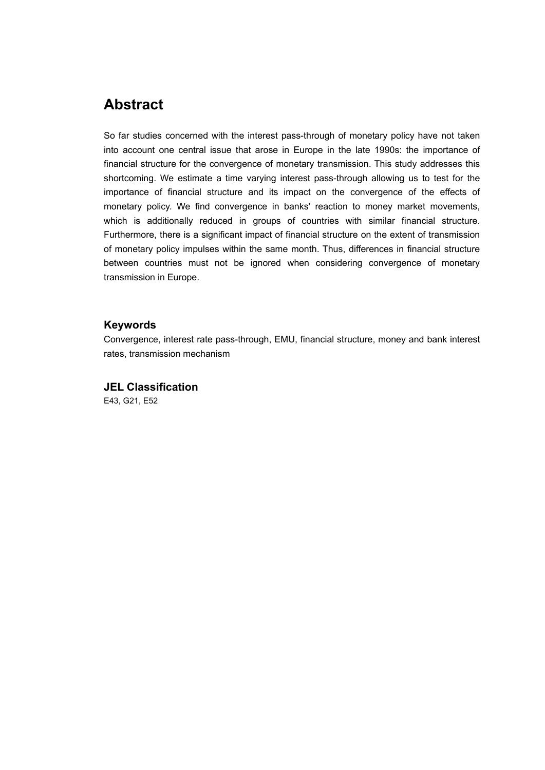## **Abstract**

So far studies concerned with the interest pass-through of monetary policy have not taken into account one central issue that arose in Europe in the late 1990s: the importance of financial structure for the convergence of monetary transmission. This study addresses this shortcoming. We estimate a time varying interest pass-through allowing us to test for the importance of financial structure and its impact on the convergence of the effects of monetary policy. We find convergence in banks' reaction to money market movements, which is additionally reduced in groups of countries with similar financial structure. Furthermore, there is a significant impact of financial structure on the extent of transmission of monetary policy impulses within the same month. Thus, differences in financial structure between countries must not be ignored when considering convergence of monetary transmission in Europe.

#### **Keywords**

Convergence, interest rate pass-through, EMU, financial structure, money and bank interest rates, transmission mechanism

#### **JEL Classification**

E43, G21, E52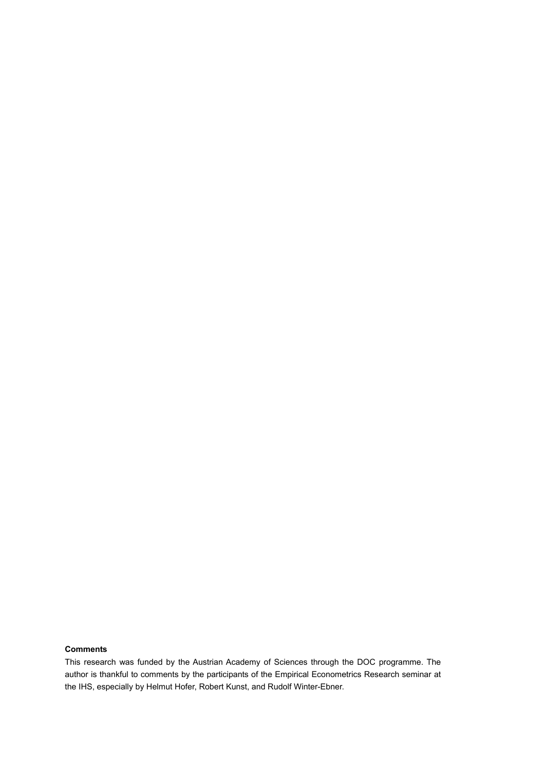#### **Comments**

This research was funded by the Austrian Academy of Sciences through the DOC programme. The author is thankful to comments by the participants of the Empirical Econometrics Research seminar at the IHS, especially by Helmut Hofer, Robert Kunst, and Rudolf Winter-Ebner.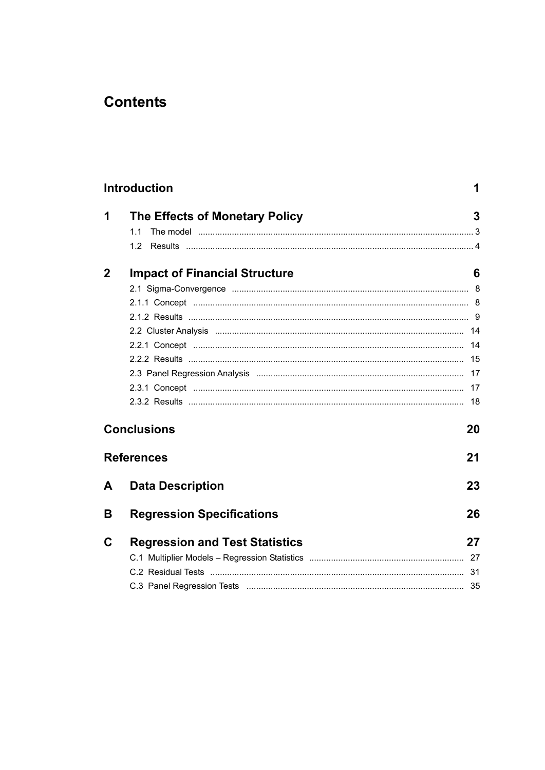## **Contents**

|             | <b>Introduction</b>                   | 1  |
|-------------|---------------------------------------|----|
| 1           | The Effects of Monetary Policy        | 3  |
|             | 1.1                                   |    |
|             | 1.2                                   |    |
| $\mathbf 2$ | <b>Impact of Financial Structure</b>  | 6  |
|             |                                       |    |
|             |                                       |    |
|             |                                       |    |
|             |                                       |    |
|             |                                       | 14 |
|             |                                       |    |
|             |                                       |    |
|             |                                       |    |
|             |                                       |    |
|             | <b>Conclusions</b>                    | 20 |
|             | <b>References</b>                     | 21 |
| A           | <b>Data Description</b>               | 23 |
| В           | <b>Regression Specifications</b>      | 26 |
| C           | <b>Regression and Test Statistics</b> | 27 |
|             |                                       |    |
|             |                                       |    |
|             |                                       |    |
|             |                                       |    |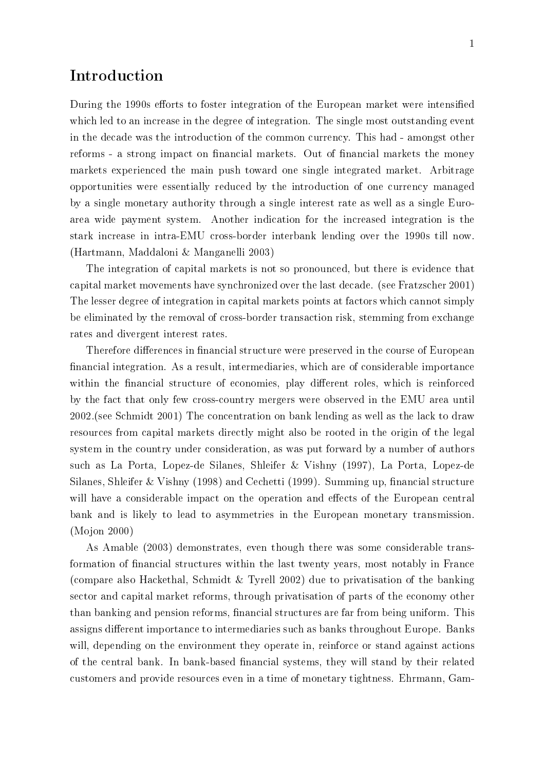## Introduction

During the 1990s efforts to foster integration of the European market were intensified which led to an increase in the degree of integration. The single most outstanding event in the decade was the introduction of the common currency. This had - amongst other reforms - a strong impact on financial markets. Out of financial markets the money markets experienced the main push toward one single integrated market. Arbitrage opportunities were essentially reduced by the introduction of one currency managed by a single monetary authority through a single interest rate as well as a single Euroarea wide payment system. Another indication for the increased integration is the stark increase in intra-EMU cross-border interbank lending over the 1990s till now. (Hartmann, Maddaloni & Manganelli 2003)

The integration of capital markets is not so pronounced, but there is evidence that capital market movements have synchronized over the last decade. (see Fratzscher 2001) The lesser degree of integration in capital markets points at factors which cannot simply be eliminated by the removal of cross-border transaction risk, stemming from exchange rates and divergent interest rates.

Therefore differences in financial structure were preserved in the course of European nancial integration. As a result, intermediaries, which are of considerable importance within the financial structure of economies, play different roles, which is reinforced by the fact that only few cross-country mergers were observed in the EMU area until 2002.(see Schmidt 2001) The concentration on bank lending as well as the lack to draw resources from capital markets directly might also be rooted in the origin of the legal system in the country under consideration, as was put forward by a number of authors such as La Porta, Lopez-de Silanes, Shleifer & Vishny (1997), La Porta, Lopez-de Silanes, Shleifer & Vishny (1998) and Cechetti (1999). Summing up, financial structure will have a considerable impact on the operation and effects of the European central bank and is likely to lead to asymmetries in the European monetary transmission. (Mojon 2000)

As Amable (2003) demonstrates, even though there was some considerable transformation of financial structures within the last twenty years, most notably in France (compare also Hackethal, Schmidt & Tyrell 2002) due to privatisation of the banking sector and capital market reforms, through privatisation of parts of the economy other than banking and pension reforms, financial structures are far from being uniform. This assigns different importance to intermediaries such as banks throughout Europe. Banks will, depending on the environment they operate in, reinforce or stand against actions of the central bank. In bank-based financial systems, they will stand by their related customers and provide resources even in a time of monetary tightness. Ehrmann, Gam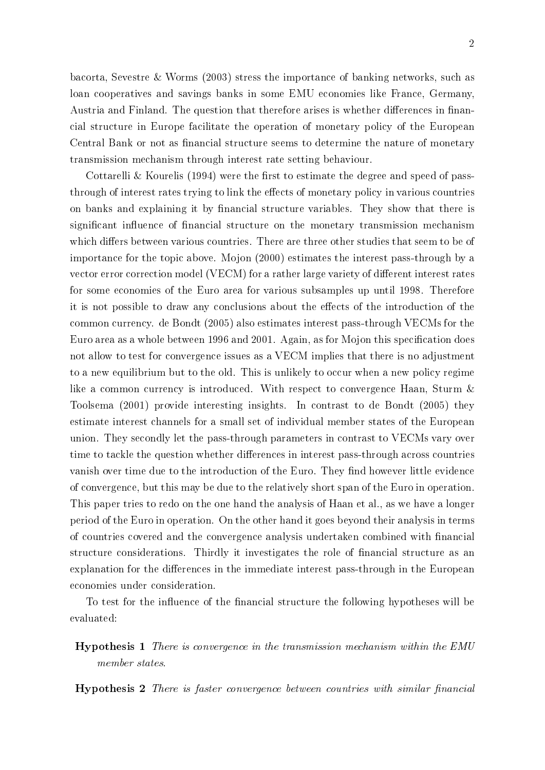bacorta, Sevestre & Worms (2003) stress the importance of banking networks, such as loan cooperatives and savings banks in some EMU economies like France, Germany, Austria and Finland. The question that therefore arises is whether differences in financial structure in Europe facilitate the operation of monetary policy of the European Central Bank or not as financial structure seems to determine the nature of monetary transmission mechanism through interest rate setting behaviour.

Cottarelli & Kourelis (1994) were the first to estimate the degree and speed of passthrough of interest rates trying to link the effects of monetary policy in various countries on banks and explaining it by financial structure variables. They show that there is significant influence of financial structure on the monetary transmission mechanism which differs between various countries. There are three other studies that seem to be of importance for the topic above. Mojon (2000) estimates the interest pass-through by a vector error correction model (VECM) for a rather large variety of different interest rates for some economies of the Euro area for various subsamples up until 1998. Therefore it is not possible to draw any conclusions about the effects of the introduction of the common currency. de Bondt (2005) also estimates interest pass-through VECMs for the Euro area as a whole between 1996 and 2001. Again, as for Mojon this specification does not allow to test for convergence issues as a VECM implies that there is no adjustment to a new equilibrium but to the old. This is unlikely to occur when a new policy regime like a common currency is introduced. With respect to convergence Haan, Sturm & Toolsema (2001) provide interesting insights. In contrast to de Bondt (2005) they estimate interest channels for a small set of individual member states of the European union. They secondly let the pass-through parameters in contrast to VECMs vary over time to tackle the question whether differences in interest pass-through across countries vanish over time due to the introduction of the Euro. They find however little evidence of convergence, but this may be due to the relatively short span of the Euro in operation. This paper tries to redo on the one hand the analysis of Haan et al., as we have a longer period of the Euro in operation. On the other hand it goes beyond their analysis in terms of countries covered and the convergence analysis undertaken combined with nancial structure considerations. Thirdly it investigates the role of nancial structure as an explanation for the differences in the immediate interest pass-through in the European economies under consideration.

To test for the influence of the financial structure the following hypotheses will be evaluated:

Hypothesis 1 There is convergence in the transmission mechanism within the EMU member states.

**Hypothesis 2** There is faster convergence between countries with similar financial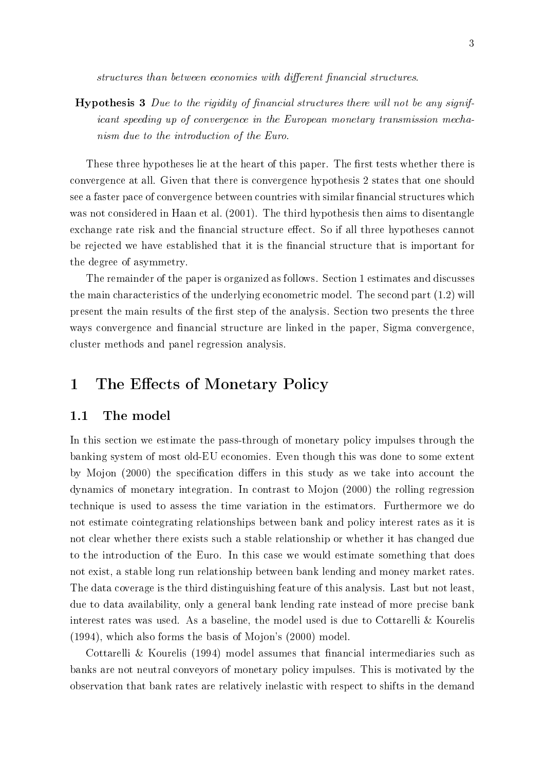structures than between economies with different financial structures.

**Hypothesis 3** Due to the rigidity of financial structures there will not be any significant speeding up of convergence in the European monetary transmission mechanism due to the introduction of the Euro.

These three hypotheses lie at the heart of this paper. The first tests whether there is convergence at all. Given that there is convergence hypothesis 2 states that one should see a faster pace of convergence between countries with similar financial structures which was not considered in Haan et al. (2001). The third hypothesis then aims to disentangle exchange rate risk and the financial structure effect. So if all three hypotheses cannot be rejected we have established that it is the nancial structure that is important for the degree of asymmetry.

The remainder of the paper is organized as follows. Section 1 estimates and discusses the main characteristics of the underlying econometric model. The second part (1.2) will present the main results of the first step of the analysis. Section two presents the three ways convergence and financial structure are linked in the paper, Sigma convergence, cluster methods and panel regression analysis.

## 1 The Effects of Monetary Policy

#### 1.1 The model

In this section we estimate the pass-through of monetary policy impulses through the banking system of most old-EU economies. Even though this was done to some extent by Mojon (2000) the specification differs in this study as we take into account the dynamics of monetary integration. In contrast to Mojon (2000) the rolling regression technique is used to assess the time variation in the estimators. Furthermore we do not estimate cointegrating relationships between bank and policy interest rates as it is not clear whether there exists such a stable relationship or whether it has changed due to the introduction of the Euro. In this case we would estimate something that does not exist, a stable long run relationship between bank lending and money market rates. The data coverage is the third distinguishing feature of this analysis. Last but not least, due to data availability, only a general bank lending rate instead of more precise bank interest rates was used. As a baseline, the model used is due to Cottarelli & Kourelis (1994), which also forms the basis of Mojon's (2000) model.

Cottarelli & Kourelis  $(1994)$  model assumes that financial intermediaries such as banks are not neutral conveyors of monetary policy impulses. This is motivated by the observation that bank rates are relatively inelastic with respect to shifts in the demand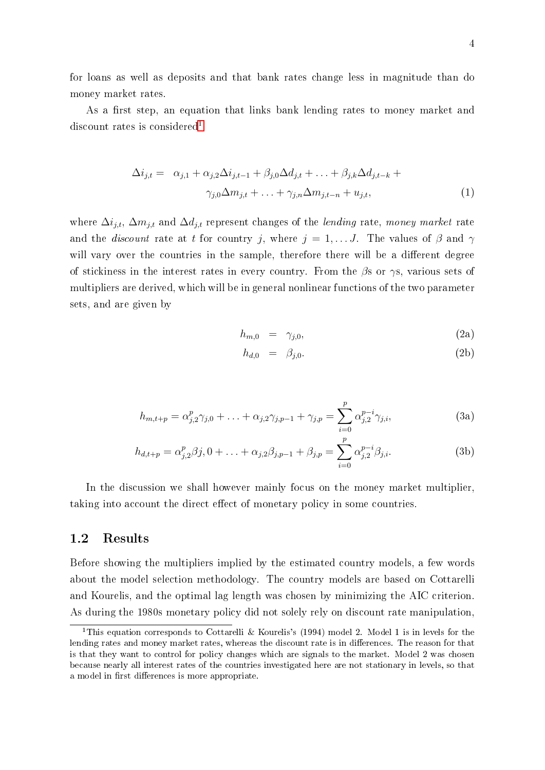for loans as well as deposits and that bank rates change less in magnitude than do money market rates.

As a first step, an equation that links bank lending rates to money market and discount rates is considered<sup>[1](#page-9-0)</sup>:

$$
\Delta i_{j,t} = \alpha_{j,1} + \alpha_{j,2}\Delta i_{j,t-1} + \beta_{j,0}\Delta d_{j,t} + \ldots + \beta_{j,k}\Delta d_{j,t-k} +
$$
  

$$
\gamma_{j,0}\Delta m_{j,t} + \ldots + \gamma_{j,n}\Delta m_{j,t-n} + u_{j,t},
$$
 (1)

where  $\Delta i_{j,t}$ ,  $\Delta m_{j,t}$  and  $\Delta d_{j,t}$  represent changes of the lending rate, money market rate and the *discount* rate at t for country j, where  $j = 1, \ldots J$ . The values of  $\beta$  and  $\gamma$ will vary over the countries in the sample, therefore there will be a different degree of stickiness in the interest rates in every country. From the  $\beta$ s or  $\gamma$ s, various sets of multipliers are derived, which will be in general nonlinear functions of the two parameter sets, and are given by

$$
h_{m,0} = \gamma_{j,0}, \qquad (2a)
$$

$$
h_{d,0} = \beta_{j,0}.\tag{2b}
$$

$$
h_{m,t+p} = \alpha_{j,2}^p \gamma_{j,0} + \ldots + \alpha_{j,2} \gamma_{j,p-1} + \gamma_{j,p} = \sum_{i=0}^p \alpha_{j,2}^{p-i} \gamma_{j,i},
$$
 (3a)

$$
h_{d,t+p} = \alpha_{j,2}^p \beta j, 0 + \ldots + \alpha_{j,2} \beta_{j,p-1} + \beta_{j,p} = \sum_{i=0}^p \alpha_{j,2}^{p-i} \beta_{j,i}.
$$
 (3b)

In the discussion we shall however mainly focus on the money market multiplier, taking into account the direct effect of monetary policy in some countries.

#### 1.2 Results

Before showing the multipliers implied by the estimated country models, a few words about the model selection methodology. The country models are based on Cottarelli and Kourelis, and the optimal lag length was chosen by minimizing the AIC criterion. As during the 1980s monetary policy did not solely rely on discount rate manipulation,

<span id="page-9-0"></span><sup>&</sup>lt;sup>1</sup>This equation corresponds to Cottarelli & Kourelis's (1994) model 2. Model 1 is in levels for the lending rates and money market rates, whereas the discount rate is in differences. The reason for that is that they want to control for policy changes which are signals to the market. Model 2 was chosen because nearly all interest rates of the countries investigated here are not stationary in levels, so that a model in first differences is more appropriate.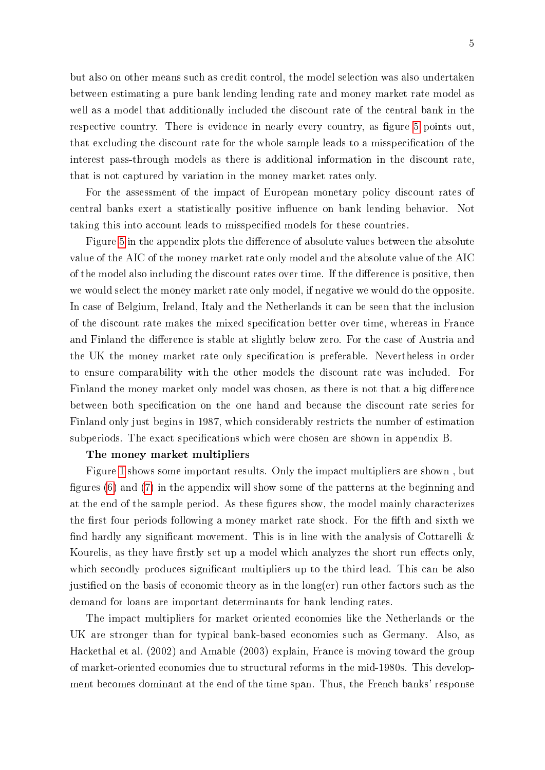but also on other means such as credit control, the model selection was also undertaken between estimating a pure bank lending lending rate and money market rate model as well as a model that additionally included the discount rate of the central bank in the respective country. There is evidence in nearly every country, as figure [5](#page-33-0) points out. that excluding the discount rate for the whole sample leads to a misspecification of the interest pass-through models as there is additional information in the discount rate, that is not captured by variation in the money market rates only.

For the assessment of the impact of European monetary policy discount rates of central banks exert a statistically positive influence on bank lending behavior. Not taking this into account leads to misspecified models for these countries.

Figure [5](#page-33-0) in the appendix plots the difference of absolute values between the absolute value of the AIC of the money market rate only model and the absolute value of the AIC of the model also including the discount rates over time. If the difference is positive, then we would select the money market rate only model, if negative we would do the opposite. In case of Belgium, Ireland, Italy and the Netherlands it can be seen that the inclusion of the discount rate makes the mixed specification better over time, whereas in France and Finland the difference is stable at slightly below zero. For the case of Austria and the UK the money market rate only specification is preferable. Nevertheless in order to ensure comparability with the other models the discount rate was included. For Finland the money market only model was chosen, as there is not that a big difference between both specification on the one hand and because the discount rate series for Finland only just begins in 1987, which considerably restricts the number of estimation subperiods. The exact specifications which were chosen are shown in appendix B.

#### The money market multipliers

Figure [1](#page-11-0) shows some important results. Only the impact multipliers are shown , but figures  $(6)$  and  $(7)$  in the appendix will show some of the patterns at the beginning and at the end of the sample period. As these figures show, the model mainly characterizes the first four periods following a money market rate shock. For the fifth and sixth we find hardly any significant movement. This is in line with the analysis of Cottarelli  $\&$ Kourelis, as they have firstly set up a model which analyzes the short run effects only. which secondly produces significant multipliers up to the third lead. This can be also justified on the basis of economic theory as in the  $\log(\mathrm{er})$  run other factors such as the demand for loans are important determinants for bank lending rates.

The impact multipliers for market oriented economies like the Netherlands or the UK are stronger than for typical bank-based economies such as Germany. Also, as Hackethal et al. (2002) and Amable (2003) explain, France is moving toward the group of market-oriented economies due to structural reforms in the mid-1980s. This development becomes dominant at the end of the time span. Thus, the French banks' response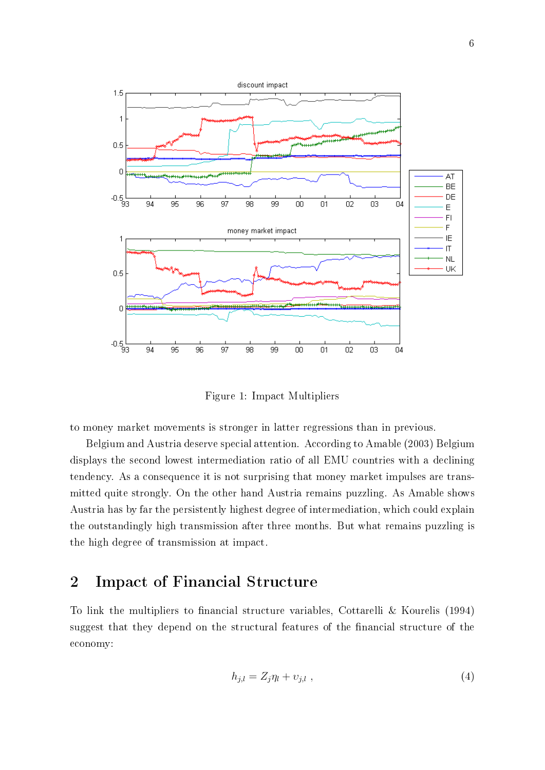

<span id="page-11-0"></span>Figure 1: Impact Multipliers

to money market movements is stronger in latter regressions than in previous.

Belgium and Austria deserve special attention. According to Amable (2003) Belgium displays the second lowest intermediation ratio of all EMU countries with a declining tendency. As a consequence it is not surprising that money market impulses are transmitted quite strongly. On the other hand Austria remains puzzling. As Amable shows Austria has by far the persistently highest degree of intermediation, which could explain the outstandingly high transmission after three months. But what remains puzzling is the high degree of transmission at impact.

## 2 Impact of Financial Structure

To link the multipliers to financial structure variables, Cottarelli & Kourelis (1994) suggest that they depend on the structural features of the financial structure of the economy:

$$
h_{j,l} = Z_j \eta_l + \upsilon_{j,l} \tag{4}
$$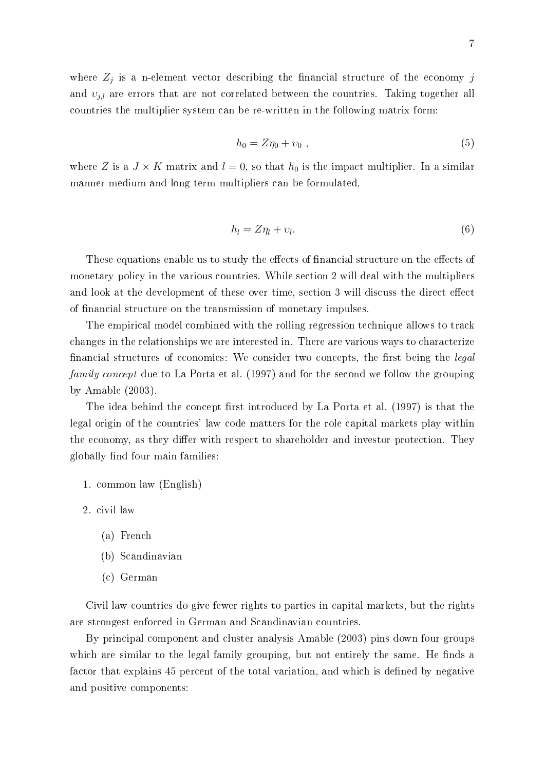$$
h_0 = Z\eta_0 + \nu_0 \; , \tag{5}
$$

where Z is a  $J \times K$  matrix and  $l = 0$ , so that  $h_0$  is the impact multiplier. In a similar manner medium and long term multipliers can be formulated,

$$
h_l = Z\eta_l + \upsilon_l. \tag{6}
$$

These equations enable us to study the effects of financial structure on the effects of monetary policy in the various countries. While section 2 will deal with the multipliers and look at the development of these over time, section 3 will discuss the direct effect of nancial structure on the transmission of monetary impulses.

The empirical model combined with the rolling regression technique allows to track changes in the relationships we are interested in. There are various ways to characterize financial structures of economies: We consider two concepts, the first being the *legal* family concept due to La Porta et al. (1997) and for the second we follow the grouping by Amable (2003).

The idea behind the concept first introduced by La Porta et al. (1997) is that the legal origin of the countries' law code matters for the role capital markets play within the economy, as they differ with respect to shareholder and investor protection. They globally find four main families:

1. common law (English)

2. civil law

- (a) French
- (b) Scandinavian
- (c) German

Civil law countries do give fewer rights to parties in capital markets, but the rights are strongest enforced in German and Scandinavian countries.

By principal component and cluster analysis Amable (2003) pins down four groups which are similar to the legal family grouping, but not entirely the same. He finds a factor that explains 45 percent of the total variation, and which is defined by negative and positive components: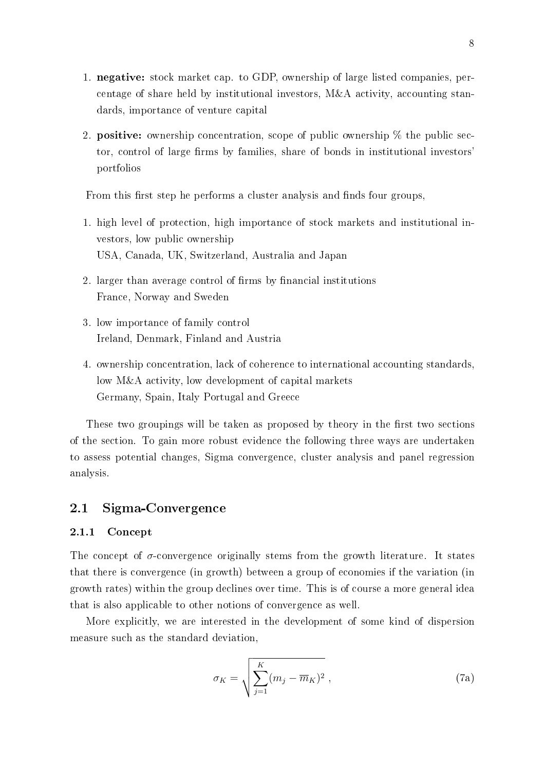- 1. negative: stock market cap. to GDP, ownership of large listed companies, percentage of share held by institutional investors, M&A activity, accounting standards, importance of venture capital
- 2. **positive:** ownership concentration, scope of public ownership  $\%$  the public sector, control of large firms by families, share of bonds in institutional investors' portfolios

From this first step he performs a cluster analysis and finds four groups.

- 1. high level of protection, high importance of stock markets and institutional investors, low public ownership USA, Canada, UK, Switzerland, Australia and Japan
- 2. larger than average control of firms by financial institutions France, Norway and Sweden
- 3. low importance of family control Ireland, Denmark, Finland and Austria
- 4. ownership concentration, lack of coherence to international accounting standards, low M&A activity, low development of capital markets Germany, Spain, Italy Portugal and Greece

These two groupings will be taken as proposed by theory in the first two sections of the section. To gain more robust evidence the following three ways are undertaken to assess potential changes, Sigma convergence, cluster analysis and panel regression analysis.

#### 2.1 Sigma-Convergence

#### 2.1.1 Concept

The concept of  $\sigma$ -convergence originally stems from the growth literature. It states that there is convergence (in growth) between a group of economies if the variation (in growth rates) within the group declines over time. This is of course a more general idea that is also applicable to other notions of convergence as well.

More explicitly, we are interested in the development of some kind of dispersion measure such as the standard deviation,

$$
\sigma_K = \sqrt{\sum_{j=1}^K (m_j - \overline{m}_K)^2} \tag{7a}
$$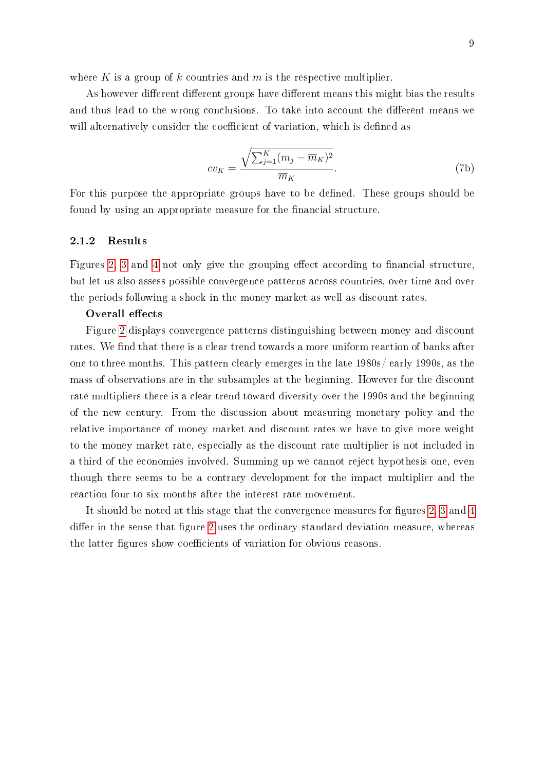where K is a group of k countries and  $m$  is the respective multiplier.

As however different different groups have different means this might bias the results and thus lead to the wrong conclusions. To take into account the different means we will alternatively consider the coefficient of variation, which is defined as

$$
cv_K = \frac{\sqrt{\sum_{j=1}^K (m_j - \overline{m}_K)^2}}{\overline{m}_K}.
$$
\n(7b)

For this purpose the appropriate groups have to be defined. These groups should be found by using an appropriate measure for the financial structure.

#### 2.1.2 Results

Figures [2,](#page-15-0) [3](#page-17-0) and [4](#page-18-0) not only give the grouping effect according to financial structure, but let us also assess possible convergence patterns across countries, over time and over the periods following a shock in the money market as well as discount rates.

#### Overall effects

Figure [2](#page-15-0) displays convergence patterns distinguishing between money and discount rates. We find that there is a clear trend towards a more uniform reaction of banks after one to three months. This pattern clearly emerges in the late 1980s/ early 1990s, as the mass of observations are in the subsamples at the beginning. However for the discount rate multipliers there is a clear trend toward diversity over the 1990s and the beginning of the new century. From the discussion about measuring monetary policy and the relative importance of money market and discount rates we have to give more weight to the money market rate, especially as the discount rate multiplier is not included in a third of the economies involved. Summing up we cannot reject hypothesis one, even though there seems to be a contrary development for the impact multiplier and the reaction four to six months after the interest rate movement.

It should be noted at this stage that the convergence measures for figures [2,](#page-15-0) [3](#page-17-0) and [4](#page-18-0) differ in the sense that figure [2](#page-15-0) uses the ordinary standard deviation measure, whereas the latter figures show coefficients of variation for obvious reasons.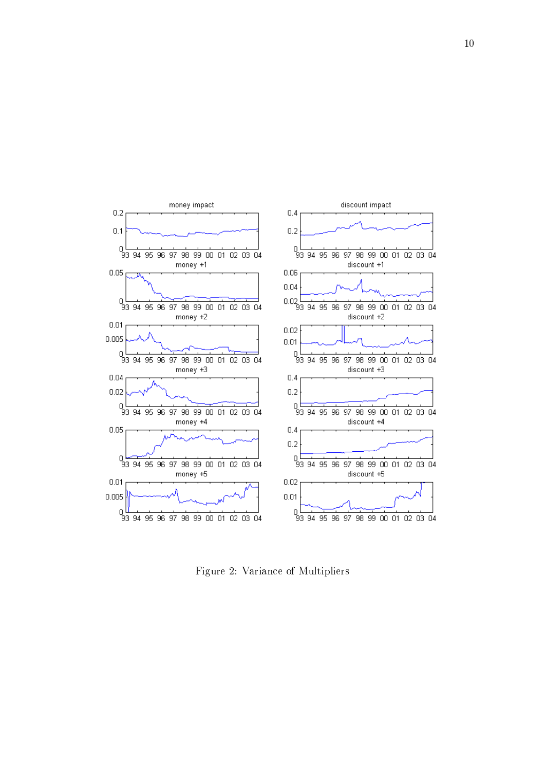

<span id="page-15-0"></span>Figure 2: Variance of Multipliers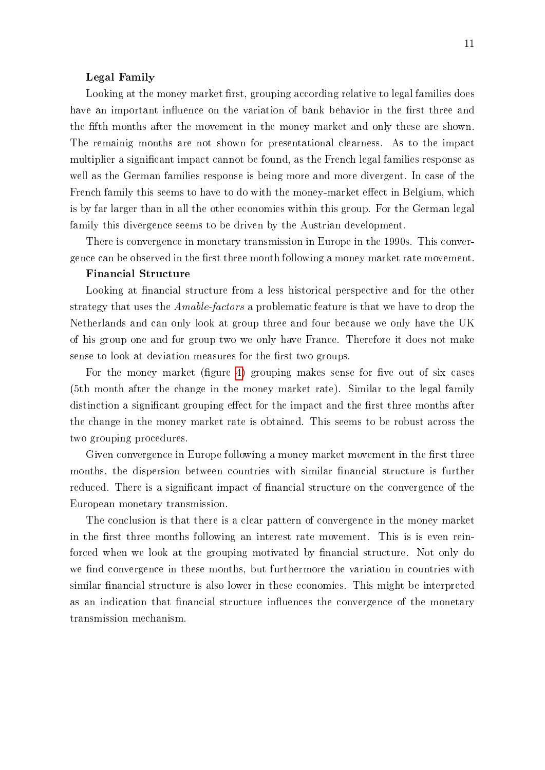#### Legal Family

Looking at the money market first, grouping according relative to legal families does have an important influence on the variation of bank behavior in the first three and the fifth months after the movement in the money market and only these are shown. The remainig months are not shown for presentational clearness. As to the impact multiplier a signicant impact cannot be found, as the French legal families response as well as the German families response is being more and more divergent. In case of the French family this seems to have to do with the money-market effect in Belgium, which is by far larger than in all the other economies within this group. For the German legal family this divergence seems to be driven by the Austrian development.

There is convergence in monetary transmission in Europe in the 1990s. This convergence can be observed in the first three month following a money market rate movement.

#### Financial Structure

Looking at financial structure from a less historical perspective and for the other strategy that uses the Amable-factors a problematic feature is that we have to drop the Netherlands and can only look at group three and four because we only have the UK of his group one and for group two we only have France. Therefore it does not make sense to look at deviation measures for the first two groups.

For the money market (figure [4\)](#page-18-0) grouping makes sense for five out of six cases (5th month after the change in the money market rate). Similar to the legal family distinction a significant grouping effect for the impact and the first three months after the change in the money market rate is obtained. This seems to be robust across the two grouping procedures.

Given convergence in Europe following a money market movement in the first three months, the dispersion between countries with similar financial structure is further reduced. There is a significant impact of financial structure on the convergence of the European monetary transmission.

The conclusion is that there is a clear pattern of convergence in the money market in the first three months following an interest rate movement. This is is even reinforced when we look at the grouping motivated by financial structure. Not only do we find convergence in these months, but furthermore the variation in countries with similar financial structure is also lower in these economies. This might be interpreted as an indication that financial structure influences the convergence of the monetary transmission mechanism.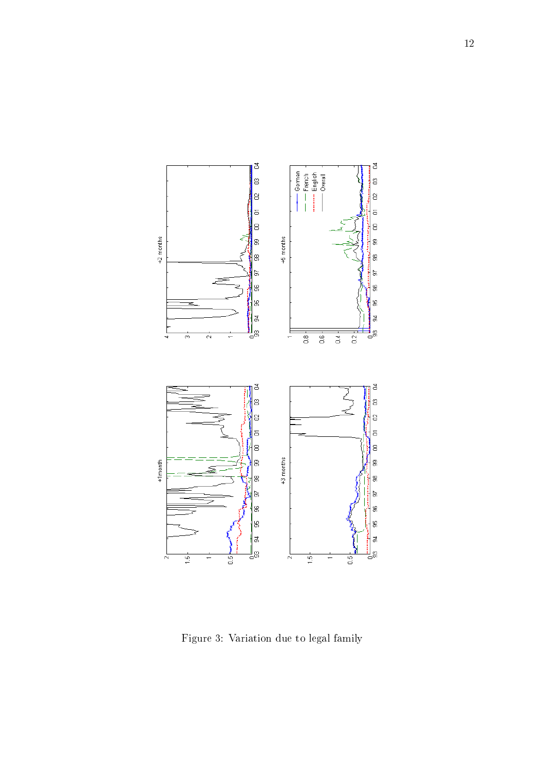

<span id="page-17-0"></span>Figure 3: Variation due to legal family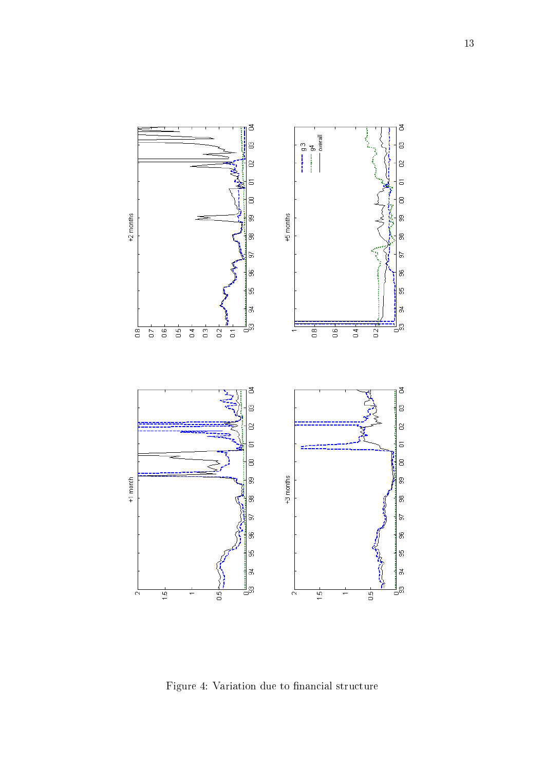

<span id="page-18-0"></span>Figure 4: Variation due to financial structure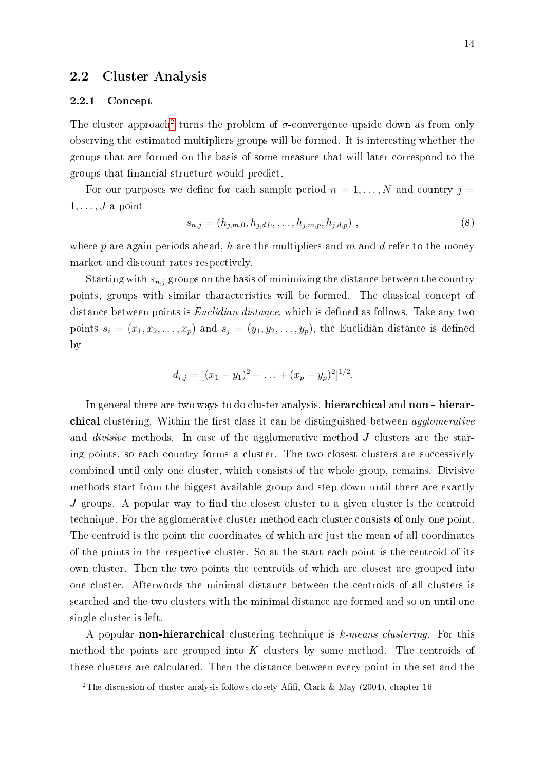#### 2.2 Cluster Analysis

#### 2.2.1 Concept

The cluster approach<sup>[2](#page-19-0)</sup> turns the problem of  $\sigma$ -convergence upside down as from only observing the estimated multipliers groups will be formed. It is interesting whether the groups that are formed on the basis of some measure that will later correspond to the groups that financial structure would predict.

For our purposes we define for each sample period  $n = 1, \ldots, N$  and country  $j =$  $1, \ldots, J$  a point

$$
s_{n,j} = (h_{j,m,0}, h_{j,d,0}, \dots, h_{j,m,p}, h_{j,d,p}) \tag{8}
$$

where  $p$  are again periods ahead,  $h$  are the multipliers and  $m$  and  $d$  refer to the money market and discount rates respectively.

Starting with  $s_{n,j}$  groups on the basis of minimizing the distance between the country points, groups with similar characteristics will be formed. The classical concept of distance between points is *Euclidian distance*, which is defined as follows. Take any two points  $s_i = (x_1, x_2, \ldots, x_p)$  and  $s_j = (y_1, y_2, \ldots, y_p)$ , the Euclidian distance is defined by

$$
d_{i,j} = [(x_1 - y_1)^2 + \ldots + (x_p - y_p)^2]^{1/2}.
$$

In general there are two ways to do cluster analysis, hierarchical and non - hierarchical clustering. Within the first class it can be distinguished between *agglomerative* and *divisive* methods. In case of the agglomerative method J clusters are the staring points, so each country forms a cluster. The two closest clusters are successively combined until only one cluster, which consists of the whole group, remains. Divisive methods start from the biggest available group and step down until there are exactly  $J$  groups. A popular way to find the closest cluster to a given cluster is the centroid technique. For the agglomerative cluster method each cluster consists of only one point. The centroid is the point the coordinates of which are just the mean of all coordinates of the points in the respective cluster. So at the start each point is the centroid of its own cluster. Then the two points the centroids of which are closest are grouped into one cluster. Afterwords the minimal distance between the centroids of all clusters is searched and the two clusters with the minimal distance are formed and so on until one single cluster is left.

A popular non-hierarchical clustering technique is k-means clustering. For this method the points are grouped into  $K$  clusters by some method. The centroids of these clusters are calculated. Then the distance between every point in the set and the

<span id="page-19-0"></span><sup>&</sup>lt;sup>2</sup>The discussion of cluster analysis follows closely Afifi, Clark & May (2004), chapter 16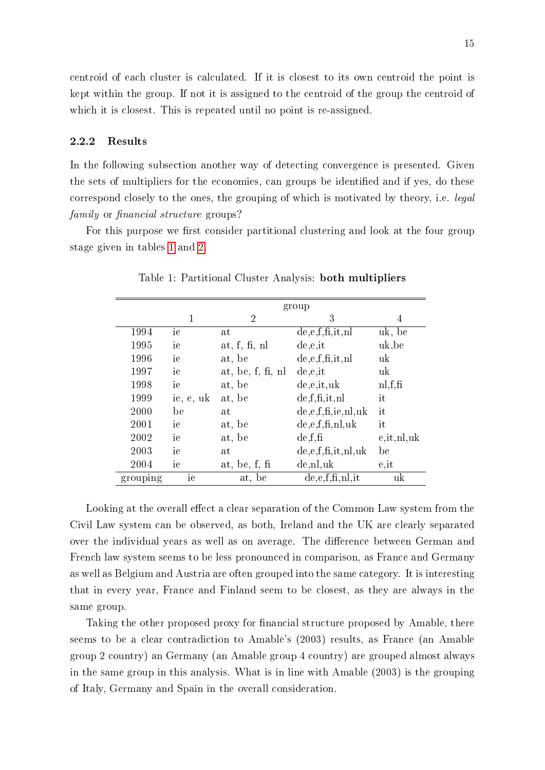centroid of each cluster is calculated. If it is closest to its own centroid the point is kept within the group. If not it is assigned to the centroid of the group the centroid of which it is closest. This is repeated until no point is re-assigned.

#### 2.2.2 Results

In the following subsection another way of detecting convergence is presented. Given the sets of multipliers for the economies, can groups be identified and if yes, do these correspond closely to the ones, the grouping of which is motivated by theory, i.e. legal family or financial structure groups?

For this purpose we first consider partitional clustering and look at the four group stage given in tables [1](#page-20-0) and [2.](#page-21-0)

|          | group     |                     |                          |                  |  |  |
|----------|-----------|---------------------|--------------------------|------------------|--|--|
|          |           |                     |                          |                  |  |  |
|          | 1         | $\overline{2}$      | 3                        | 4                |  |  |
| 1994     | ie        | at                  | de, e, f, fi, it, nl     | uk, be           |  |  |
| 1995     | ie        | at, f, fi, nl       | de.e.                    | uk, be           |  |  |
| 1996     | ie        | at, be              | de, e, f, fi, it, nl     | uk               |  |  |
| 1997     | ie        | at, be, $f, fi, nl$ | de,e,it                  | uk               |  |  |
| 1998     | ie        | at, be              | de, e, it, uk            | n, f, fi         |  |  |
| 1999     | ie, e, uk | at, be              | de, f, fi, it, nl        | it               |  |  |
| 2000     | be        | at                  | de, e, f, fi, ie, nl, uk | it               |  |  |
| 2001     | ie        | at, be              | de, e, f, fi, nl, uk     | it               |  |  |
| 2002     | ie        | at, be              | de.f.f.                  | $e$ , it, nl, uk |  |  |
| 2003     | ie        | at                  | de, e, f, fi, it, nl, uk | be               |  |  |
| 2004     | ie        | at, be, $f$ , $f$   | de, nl, uk               | e, it            |  |  |
| grouping | ie        | at, be              | de, e, f, fi, nl, it     | uk               |  |  |

<span id="page-20-0"></span>Table 1: Partitional Cluster Analysis: both multipliers

Looking at the overall effect a clear separation of the Common Law system from the Civil Law system can be observed, as both, Ireland and the UK are clearly separated over the individual years as well as on average. The difference between German and French law system seems to be less pronounced in comparison, as France and Germany as well as Belgium and Austria are often grouped into the same category. It is interesting that in every year, France and Finland seem to be closest, as they are always in the same group.

Taking the other proposed proxy for financial structure proposed by Amable, there seems to be a clear contradiction to Amable's (2003) results, as France (an Amable group 2 country) an Germany (an Amable group 4 country) are grouped almost always in the same group in this analysis. What is in line with Amable (2003) is the grouping of Italy, Germany and Spain in the overall consideration.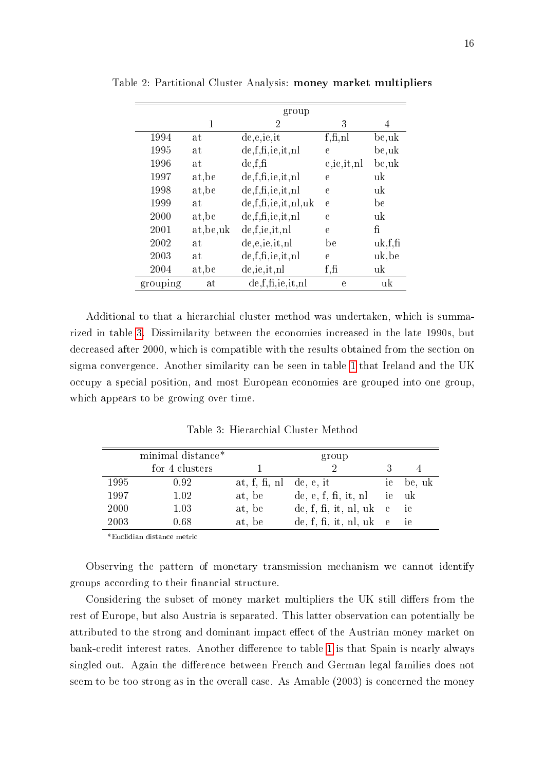<span id="page-21-0"></span>

|          |            | group                     |              |         |
|----------|------------|---------------------------|--------------|---------|
|          | 1          | 2                         | 3            | 4       |
| 1994     | at         | de,e,ie,it                | f, fi, nl    | be,uk   |
| 1995     | at         | de,f,fi,ie,it,nl          | $\mathbf e$  | be,uk   |
| 1996     | at         | de.f.f.                   | e,ie,it,nl   | be,uk   |
| 1997     | at, be     | de, f, fi, ie, it, nl     | $\mathbf e$  | uk      |
| 1998     | at, be     | de, f, fi, ie, it, nl     | $\mathbf e$  | uk      |
| 1999     | at         | de, f, fi, ie, it, nl, uk | $\mathbf{e}$ | be      |
| 2000     | at, be     | de, f, fi, ie, it, nl     | $\mathbf{e}$ | uk      |
| 2001     | at, be, uk | de, f, ie, it, nl         | $\mathbf{e}$ | fi      |
| 2002     | at         | de,e,ie,it,nl             | be           | uk.f.f. |
| 2003     | at         | de, f, fi, ie, it, nl     | e            | uk, be  |
| 2004     | at, be     | de, ie, it, nl            | f, fi        | uk      |
| grouping | at         | de,f,fi,ie,it,nl          | e            | uk      |

Table 2: Partitional Cluster Analysis: money market multipliers

Additional to that a hierarchial cluster method was undertaken, which is summarized in table [3.](#page-21-1) Dissimilarity between the economies increased in the late 1990s, but decreased after 2000, which is compatible with the results obtained from the section on sigma convergence. Another similarity can be seen in table [1](#page-20-0) that Ireland and the UK occupy a special position, and most European economies are grouped into one group, which appears to be growing over time.

<span id="page-21-1"></span>Table 3: Hierarchial Cluster Method

|             | minimal distance* |                         | group                     |           |
|-------------|-------------------|-------------------------|---------------------------|-----------|
|             | for 4 clusters    |                         |                           |           |
| 1995        | 0.92              | at, f, fi, nl de, e, it |                           | ie be, uk |
| 1997        | 1.02              | at, be                  | de, e, f, fi, it, nl      | ie uk     |
| <b>2000</b> | 1.03              | at, be                  | de, f, fi, it, nl, uk $e$ | ie ie     |
| 2003        | 0.68              | at, be                  | de, f, fi, it, nl, uk $e$ | ie        |

\*Euclidian distance metric

Observing the pattern of monetary transmission mechanism we cannot identify groups according to their financial structure.

Considering the subset of money market multipliers the UK still differs from the rest of Europe, but also Austria is separated. This latter observation can potentially be attributed to the strong and dominant impact effect of the Austrian money market on bank-credit interest rates. Another difference to table [1](#page-20-0) is that Spain is nearly always singled out. Again the difference between French and German legal families does not seem to be too strong as in the overall case. As Amable (2003) is concerned the money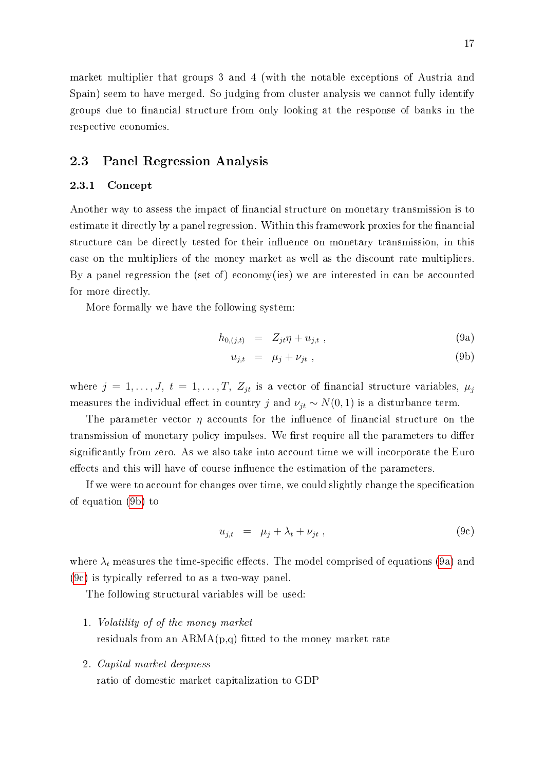market multiplier that groups 3 and 4 (with the notable exceptions of Austria and Spain) seem to have merged. So judging from cluster analysis we cannot fully identify groups due to financial structure from only looking at the response of banks in the respective economies.

#### 2.3 Panel Regression Analysis

#### 2.3.1 Concept

Another way to assess the impact of financial structure on monetary transmission is to estimate it directly by a panel regression. Within this framework proxies for the financial structure can be directly tested for their influence on monetary transmission, in this case on the multipliers of the money market as well as the discount rate multipliers. By a panel regression the (set of) economy(ies) we are interested in can be accounted for more directly.

More formally we have the following system:

<span id="page-22-0"></span>
$$
h_{0,(j,t)} = Z_{jt} \eta + u_{j,t} \t\t(9a)
$$

$$
u_{j,t} = \mu_j + \nu_{jt} , \qquad (9b)
$$

where  $j = 1, \ldots, J, t = 1, \ldots, T, Z_{jt}$  is a vector of financial structure variables,  $\mu_j$ measures the individual effect in country j and  $\nu_{jt} \sim N(0, 1)$  is a disturbance term.

The parameter vector  $\eta$  accounts for the influence of financial structure on the transmission of monetary policy impulses. We first require all the parameters to differ signicantly from zero. As we also take into account time we will incorporate the Euro effects and this will have of course influence the estimation of the parameters.

If we were to account for changes over time, we could slightly change the specication of equation [\(9b\)](#page-22-0) to

<span id="page-22-1"></span>
$$
u_{j,t} = \mu_j + \lambda_t + \nu_{jt} \tag{9c}
$$

where  $\lambda_t$  measures the time-specific effects. The model comprised of equations [\(9a\)](#page-22-0) and [\(9c\)](#page-22-1) is typically referred to as a two-way panel.

The following structural variables will be used:

- 1. Volatility of of the money market residuals from an  $ARMA(p,q)$  fitted to the money market rate
- 2. Capital market deepness

ratio of domestic market capitalization to GDP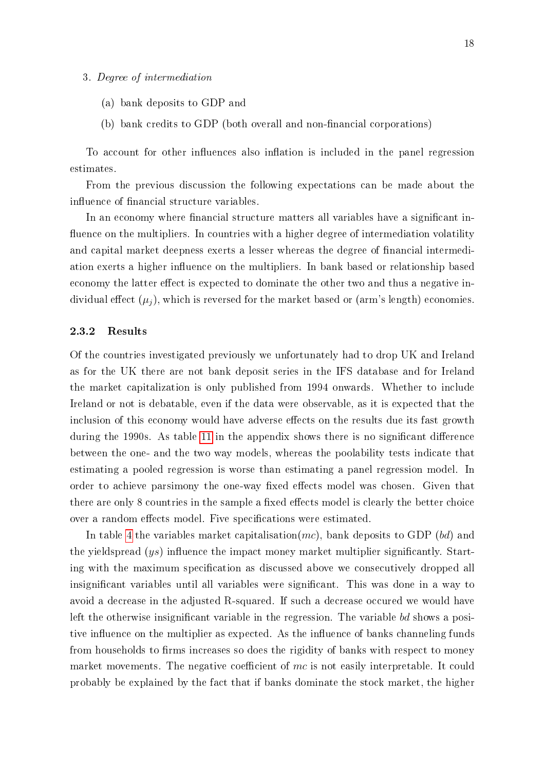#### 3. Degree of intermediation

- (a) bank deposits to GDP and
- (b) bank credits to GDP (both overall and non-financial corporations)

To account for other influences also inflation is included in the panel regression estimates.

From the previous discussion the following expectations can be made about the influence of financial structure variables.

In an economy where financial structure matters all variables have a significant influence on the multipliers. In countries with a higher degree of intermediation volatility and capital market deepness exerts a lesser whereas the degree of nancial intermediation exerts a higher influence on the multipliers. In bank based or relationship based economy the latter effect is expected to dominate the other two and thus a negative individual effect  $(\mu_i)$ , which is reversed for the market based or (arm's length) economies.

#### 2.3.2 Results

Of the countries investigated previously we unfortunately had to drop UK and Ireland as for the UK there are not bank deposit series in the IFS database and for Ireland the market capitalization is only published from 1994 onwards. Whether to include Ireland or not is debatable, even if the data were observable, as it is expected that the inclusion of this economy would have adverse effects on the results due its fast growth during the 1990s. As table [11](#page-40-0) in the appendix shows there is no significant difference between the one- and the two way models, whereas the poolability tests indicate that estimating a pooled regression is worse than estimating a panel regression model. In order to achieve parsimony the one-way fixed effects model was chosen. Given that there are only 8 countries in the sample a fixed effects model is clearly the better choice over a random effects model. Five specifications were estimated.

In table [4](#page-24-0) the variables market capitalisation(mc), bank deposits to GDP (bd) and the yieldspread  $(ys)$  influence the impact money market multiplier significantly. Starting with the maximum specification as discussed above we consecutively dropped all insignificant variables until all variables were significant. This was done in a way to avoid a decrease in the adjusted R-squared. If such a decrease occured we would have left the otherwise insignificant variable in the regression. The variable bd shows a positive influence on the multiplier as expected. As the influence of banks channeling funds from households to firms increases so does the rigidity of banks with respect to money market movements. The negative coefficient of  $mc$  is not easily interpretable. It could probably be explained by the fact that if banks dominate the stock market, the higher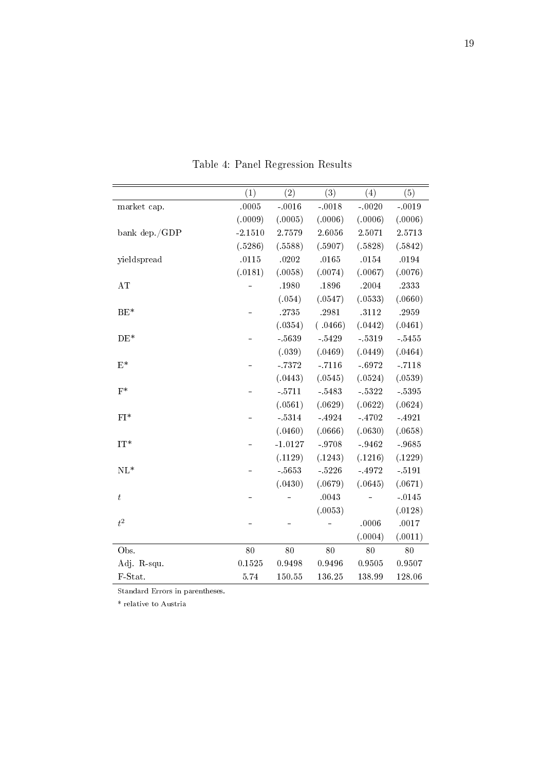|                  | (1)       | (2)       | (3)      | (4)     | (5)      |
|------------------|-----------|-----------|----------|---------|----------|
| market cap.      | .0005     | $-.0016$  | $-.0018$ | $-0020$ | $-.0019$ |
|                  | (.0009)   | (.0005)   | (.0006)  | (.0006) | (.0006)  |
| bank dep./GDP    | $-2.1510$ | 2.7579    | 2.6056   | 2.5071  | 2.5713   |
|                  | (.5286)   | (.5588)   | (.5907)  | (.5828) | (.5842)  |
| yieldspread      | .0115     | .0202     | .0165    | .0154   | .0194    |
|                  | (.0181)   | (.0058)   | (.0074)  | (.0067) | (0.0076) |
| AT               |           | .1980     | .1896    | .2004   | .2333    |
|                  |           | (.054)    | (.0547)  | (.0533) | (.0660)  |
| $BE*$            |           | .2735     | .2981    | .3112   | .2959    |
|                  |           | (.0354)   | (.0466)  | (.0442) | (.0461)  |
| $DE*$            |           | $-5639$   | $-5429$  | $-5319$ | $-5455$  |
|                  |           | (.039)    | (.0469)  | (.0449) | (.0464)  |
| $\mathbf{E}^*$   |           | $-7372$   | $-.7116$ | $-6972$ | $-.7118$ |
|                  |           | (.0443)   | (.0545)  | (.0524) | (.0539)  |
| $F^*$            |           | $-5711$   | - 5483   | $-5322$ | $-5395$  |
|                  |           | (.0561)   | (.0629)  | (.0622) | (.0624)  |
| $FI^*$           |           | $-5314$   | -4924    | $-4702$ | $-4921$  |
|                  |           | (.0460)   | (.0666)  | (.0630) | (.0658)  |
| $IT^*$           |           | $-1.0127$ | $-.9708$ | - 9462  | $-9685$  |
|                  |           | (.1129)   | (.1243)  | (.1216) | (.1229)  |
| $\mathrm{NL}^*$  |           | $-5653$   | $-5226$  | $-4972$ | $-5191$  |
|                  |           | (.0430)   | (.0679)  | (.0645) | (.0671)  |
| $\boldsymbol{t}$ |           |           | .0043    |         | $-0145$  |
|                  |           |           | (.0053)  |         | (.0128)  |
| $t^2$            |           |           |          | .0006   | .0017    |
|                  |           |           |          | (.0004) | (.0011)  |
| Obs.             | 80        | 80        | 80       | 80      | 80       |
| Adj. R-squ.      | 0.1525    | 0.9498    | 0.9496   | 0.9505  | 0.9507   |
| F-Stat.          | 5.74      | 150.55    | 136.25   | 138.99  | 128.06   |
|                  |           |           |          |         |          |

<span id="page-24-0"></span>Table 4: Panel Regression Results

Standard Errors in parentheses.

 $^\ast$  relative to Austria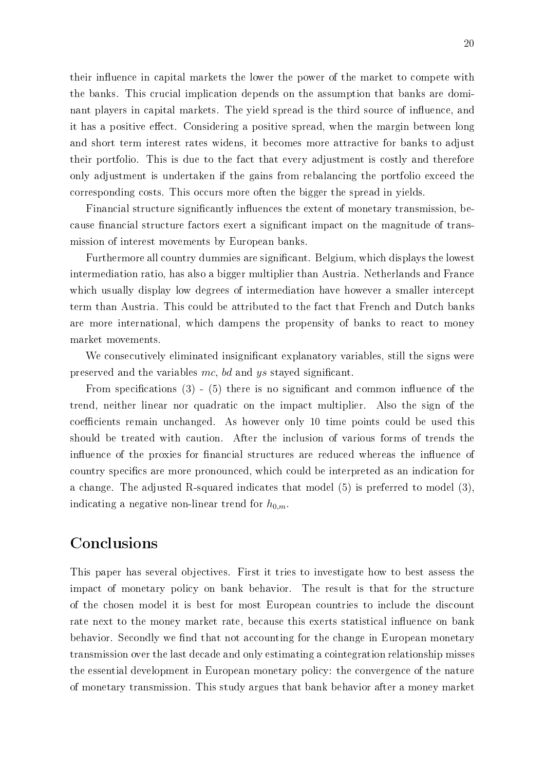their influence in capital markets the lower the power of the market to compete with the banks. This crucial implication depends on the assumption that banks are dominant players in capital markets. The yield spread is the third source of influence, and it has a positive effect. Considering a positive spread, when the margin between long and short term interest rates widens, it becomes more attractive for banks to adjust their portfolio. This is due to the fact that every adjustment is costly and therefore only adjustment is undertaken if the gains from rebalancing the portfolio exceed the corresponding costs. This occurs more often the bigger the spread in yields.

Financial structure significantly influences the extent of monetary transmission, because financial structure factors exert a significant impact on the magnitude of transmission of interest movements by European banks.

Furthermore all country dummies are significant. Belgium, which displays the lowest intermediation ratio, has also a bigger multiplier than Austria. Netherlands and France which usually display low degrees of intermediation have however a smaller intercept term than Austria. This could be attributed to the fact that French and Dutch banks are more international, which dampens the propensity of banks to react to money market movements.

We consecutively eliminated insignificant explanatory variables, still the signs were preserved and the variables mc, bd and ys stayed signicant.

From specifications  $(3)$  -  $(5)$  there is no significant and common influence of the trend, neither linear nor quadratic on the impact multiplier. Also the sign of the coefficients remain unchanged. As however only 10 time points could be used this should be treated with caution. After the inclusion of various forms of trends the influence of the proxies for financial structures are reduced whereas the influence of country specifics are more pronounced, which could be interpreted as an indication for a change. The adjusted R-squared indicates that model (5) is preferred to model (3), indicating a negative non-linear trend for  $h_{0,m}$ .

## Conclusions

This paper has several objectives. First it tries to investigate how to best assess the impact of monetary policy on bank behavior. The result is that for the structure of the chosen model it is best for most European countries to include the discount rate next to the money market rate, because this exerts statistical influence on bank behavior. Secondly we find that not accounting for the change in European monetary transmission over the last decade and only estimating a cointegration relationship misses the essential development in European monetary policy: the convergence of the nature of monetary transmission. This study argues that bank behavior after a money market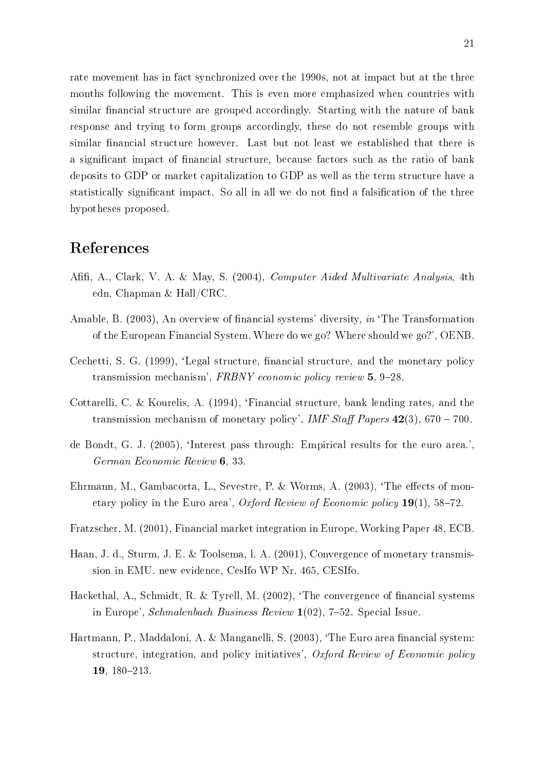rate movement has in fact synchronized over the 1990s, not at impact but at the three months following the movement. This is even more emphasized when countries with similar financial structure are grouped accordingly. Starting with the nature of bank response and trying to form groups accordingly, these do not resemble groups with similar financial structure however. Last but not least we established that there is a significant impact of financial structure, because factors such as the ratio of bank deposits to GDP or market capitalization to GDP as well as the term structure have a statistically significant impact. So all in all we do not find a falsification of the three hypotheses proposed.

### References

- Afifi, A., Clark, V. A. & May, S. (2004), *Computer Aided Multivariate Analysis*, 4th edn, Chapman & Hall/CRC.
- Amable, B. (2003), An overview of financial systems' diversity, in 'The Transformation of the European Financial System. Where do we go? Where should we go?', OENB.
- Cechetti, S. G. (1999), 'Legal structure, financial structure, and the monetary policy transmission mechanism', FRBNY economic policy review  $5, 9-28$ .
- Cottarelli, C. & Kourelis, A. (1994), 'Financial structure, bank lending rates, and the transmission mechanism of monetary policy', IMF Staff Papers  $42(3)$ , 670 – 700.
- de Bondt, G. J. (2005), 'Interest pass through: Empirical results for the euro area.', German Economic Review 6, 33.
- Ehrmann, M., Gambacorta, L., Sevestre, P. & Worms, A. (2003), 'The effects of monetary policy in the Euro area', Oxford Review of Economic policy  $19(1)$ , 58-72.
- Fratzscher, M. (2001), Financial market integration in Europe, Working Paper 48, ECB.
- Haan, J. d., Sturm, J. E. & Toolsema, l. A. (2001), Convergence of monetary transmission in EMU. new evidence, CesIfo WP Nr. 465, CESIfo.
- Hackethal, A., Schmidt, R. & Tyrell, M. (2002), 'The convergence of financial systems in Europe', Schmalenbach Business Review  $1(02)$ , 7–52. Special Issue.
- Hartmann, P., Maddaloni, A. & Manganelli, S. (2003), 'The Euro area financial system: structure, integration, and policy initiatives', Oxford Review of Economic policy 19, 180-213.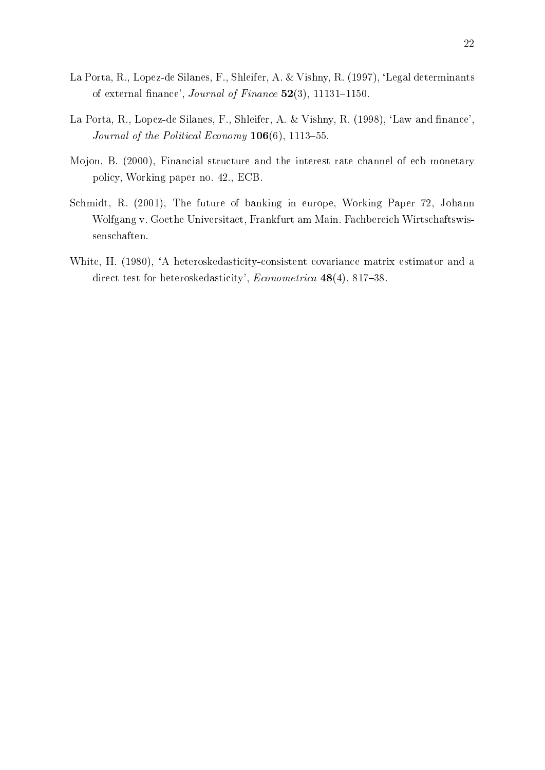- La Porta, R., Lopez-de Silanes, F., Shleifer, A. & Vishny, R. (1997), `Legal determinants of external finance', Journal of Finance  $52(3)$ , 11131-1150.
- La Porta, R., Lopez-de Silanes, F., Shleifer, A. & Vishny, R. (1998), 'Law and finance', Journal of the Political Economy  $106(6)$ , 1113-55.
- Mojon, B. (2000), Financial structure and the interest rate channel of ecb monetary policy, Working paper no. 42., ECB.
- Schmidt, R. (2001), The future of banking in europe, Working Paper 72, Johann Wolfgang v. Goethe Universitaet, Frankfurt am Main. Fachbereich Wirtschaftswissenschaften.
- White, H. (1980), 'A heteroskedasticity-consistent covariance matrix estimator and a direct test for heteroskedasticity',  $Econometrica$  48(4), 817-38.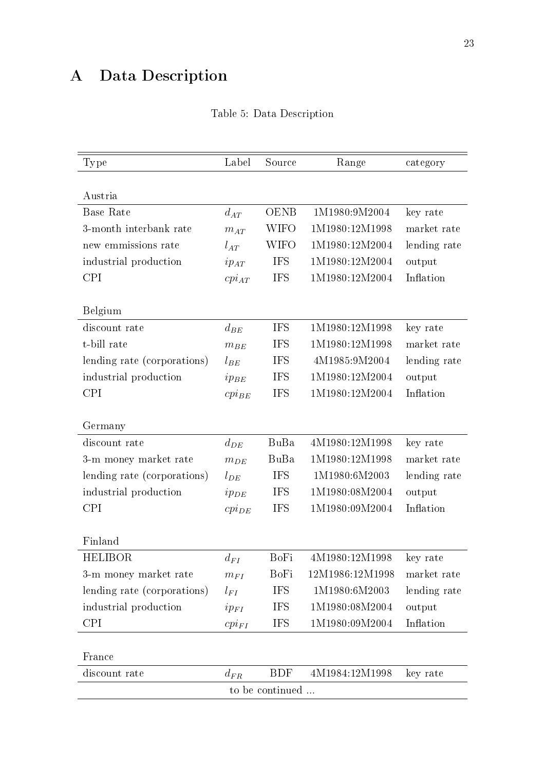# A Data Description

| <b>Type</b>                 | Label      | Source      | Range           | category     |  |
|-----------------------------|------------|-------------|-----------------|--------------|--|
|                             |            |             |                 |              |  |
| Austria                     |            |             |                 |              |  |
| Base Rate                   | $d_{AT}$   | <b>OENB</b> | 1M1980:9M2004   | key rate     |  |
| 3-month interbank rate      | $m_{AT}$   | <b>WIFO</b> | 1M1980:12M1998  | market rate  |  |
| new emmissions rate         | $l_{AT}$   | <b>WIFO</b> | 1M1980:12M2004  | lending rate |  |
| industrial production       | $ip_{AT}$  | <b>IFS</b>  | 1M1980:12M2004  | output       |  |
| <b>CPI</b>                  | $cpi_{AT}$ | <b>IFS</b>  | 1M1980:12M2004  | Inflation    |  |
|                             |            |             |                 |              |  |
| Belgium                     |            |             |                 |              |  |
| discount rate               | $d_{BE}$   | <b>IFS</b>  | 1M1980:12M1998  | key rate     |  |
| t-bill rate                 | $m_{BE}$   | <b>IFS</b>  | 1M1980:12M1998  | market rate  |  |
| lending rate (corporations) | $l_{BE}$   | <b>IFS</b>  | 4M1985:9M2004   | lending rate |  |
| industrial production       | $ip_{BE}$  | <b>IFS</b>  | 1M1980:12M2004  | output       |  |
| <b>CPI</b>                  | $cpi_{BE}$ | <b>IFS</b>  | 1M1980:12M2004  | Inflation    |  |
|                             |            |             |                 |              |  |
| Germany                     |            |             |                 |              |  |
| discount rate               | $d_{DE}$   | BuBa        | 4M1980:12M1998  | key rate     |  |
| 3-m money market rate       | $m_{DE}$   | BuBa        | 1M1980:12M1998  | market rate  |  |
| lending rate (corporations) | $l_{DE}$   | <b>IFS</b>  | 1M1980:6M2003   | lending rate |  |
| industrial production       | $ip_{DE}$  | <b>IFS</b>  | 1M1980:08M2004  | output       |  |
| <b>CPI</b>                  | $cpi_{DE}$ | <b>IFS</b>  | 1M1980:09M2004  | Inflation    |  |
|                             |            |             |                 |              |  |
| Finland                     |            |             |                 |              |  |
| HELIBOR                     | $d_{FI}$   | BoFi        | 4M1980:12M1998  | key rate     |  |
| 3-m money market rate       | $m_{FI}$   | BoFi        | 12M1986:12M1998 | market rate  |  |
| lending rate (corporations) | $l_{FI}$   | <b>IFS</b>  | 1M1980:6M2003   | lending rate |  |
| industrial production       | $ip_{FI}$  | <b>IFS</b>  | 1M1980:08M2004  | output       |  |
| CPI                         | $cpi_{FI}$ | <b>IFS</b>  | 1M1980:09M2004  | Inflation    |  |
|                             |            |             |                 |              |  |
| France                      |            |             |                 |              |  |
| discount rate               | $d_{FR}$   | <b>BDF</b>  | 4M1984:12M1998  | key rate     |  |
| to be continued             |            |             |                 |              |  |

|  |  |  | Table 5: Data Description |  |
|--|--|--|---------------------------|--|
|--|--|--|---------------------------|--|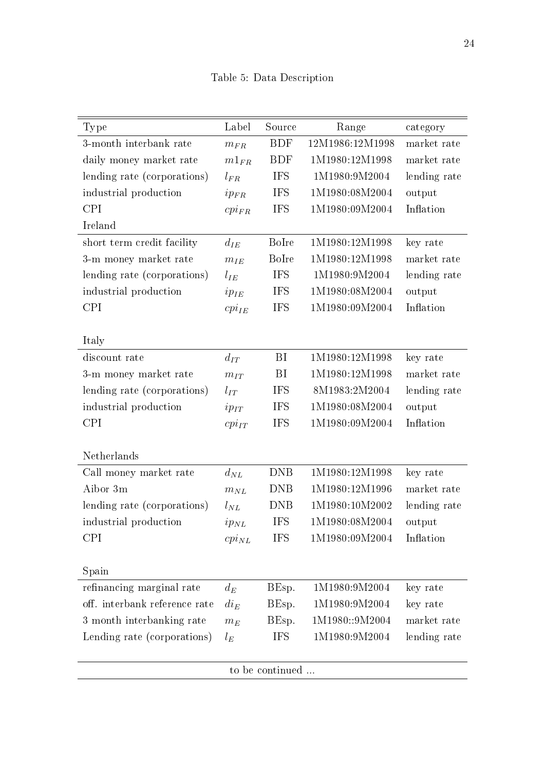| <b>Type</b>                   | Label      | Source       | Range                             | category     |  |
|-------------------------------|------------|--------------|-----------------------------------|--------------|--|
| 3-month interbank rate        | $m_{FR}$   | <b>BDF</b>   | 12M1986:12M1998                   | market rate  |  |
| daily money market rate       | $m1_{FR}$  | <b>BDF</b>   | 1M1980:12M1998                    | market rate  |  |
| lending rate (corporations)   | $l_{FR}$   | <b>IFS</b>   | 1M1980:9M2004                     | lending rate |  |
| industrial production         | $ip_{FR}$  | <b>IFS</b>   | 1M1980:08M2004                    | output       |  |
| <b>CPI</b>                    | $cpi_{FR}$ | <b>IFS</b>   | 1M1980:09M2004                    | Inflation    |  |
| Ireland                       |            |              |                                   |              |  |
| short term credit facility    | $d_{IE}$   | <b>BoIre</b> | $1{\rm M}$ 1980:12 ${\rm M}$ 1998 | key rate     |  |
| 3-m money market rate         | $m_{IE}$   | <b>BoIre</b> | 1M1980:12M1998                    | market rate  |  |
| lending rate (corporations)   | $l_{IE}$   | <b>IFS</b>   | 1M1980:9M2004                     | lending rate |  |
| industrial production         | $ip_{IE}$  | <b>IFS</b>   | 1M1980:08M2004                    | output       |  |
| <b>CPI</b>                    | $cpi_{IE}$ | <b>IFS</b>   | 1M1980:09M2004                    | Inflation    |  |
|                               |            |              |                                   |              |  |
| Italy                         |            |              |                                   |              |  |
| discount rate                 | $d_{IT}$   | BI           | 1M1980:12M1998                    | key rate     |  |
| 3-m money market rate         | $m_{IT}$   | BI           | 1M1980:12M1998                    | market rate  |  |
| lending rate (corporations)   | $l_{IT}$   | <b>IFS</b>   | 8M1983:2M2004                     | lending rate |  |
| industrial production         | $ip_{IT}$  | <b>IFS</b>   | 1M1980:08M2004                    | output       |  |
| <b>CPI</b>                    | $cpi_{IT}$ | <b>IFS</b>   | 1M1980:09M2004                    | Inflation    |  |
|                               |            |              |                                   |              |  |
| Netherlands                   |            |              |                                   |              |  |
| Call money market rate        | $d_{NL}$   | <b>DNB</b>   | 1M1980:12M1998                    | key rate     |  |
| Aibor 3m                      | $m_{NL}$   | <b>DNB</b>   | 1M1980:12M1996                    | market rate  |  |
| lending rate (corporations)   | $l_{NL}$   | <b>DNB</b>   | 1M1980:10M2002                    | lending rate |  |
| industrial production         | $ip_{NL}$  | <b>IFS</b>   | 1M1980:08M2004                    | output       |  |
| <b>CPI</b>                    | $cpi_{NL}$ | <b>IFS</b>   | 1M1980:09M2004                    | Inflation    |  |
|                               |            |              |                                   |              |  |
| Spain                         |            |              |                                   |              |  |
| refinancing marginal rate     | $d_E$      | BEsp.        | 1M1980:9M2004                     | key rate     |  |
| off. interbank reference rate | $di_E$     | BEsp.        | 1M1980:9M2004                     | key rate     |  |
| 3 month interbanking rate     | $m_E$      | BEsp.        | 1M1980::9M2004                    | market rate  |  |
| Lending rate (corporations)   | $l_E$      | <b>IFS</b>   | 1M1980:9M2004                     | lending rate |  |
|                               |            |              |                                   |              |  |
| to be continued               |            |              |                                   |              |  |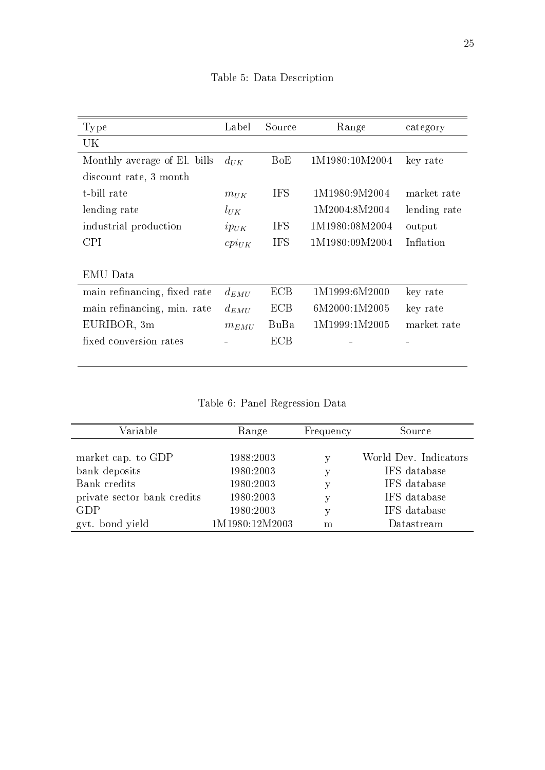| Type                         | Label      | Source     | Range          | category     |
|------------------------------|------------|------------|----------------|--------------|
| UK                           |            |            |                |              |
| Monthly average of El. bills | $d_{UK}$   | BoE        | 1M1980:10M2004 | key rate     |
| discount rate, 3 month       |            |            |                |              |
| t-bill rate                  | $m_{UK}$   | <b>IFS</b> | 1M1980:9M2004  | market rate  |
| lending rate                 | $l_{UK}$   |            | 1M2004:8M2004  | lending rate |
| industrial production        | $ip_{UK}$  | <b>IFS</b> | 1M1980:08M2004 | output       |
| CPI.                         | $cpi_{UK}$ | <b>IFS</b> | 1M1980:09M2004 | Inflation    |
|                              |            |            |                |              |
| EMU Data                     |            |            |                |              |
| main refinancing, fixed rate | $d_{EMU}$  | <b>ECB</b> | 1M1999:6M2000  | key rate     |
| main refinancing, min. rate  | $d_{EMU}$  | ECB.       | 6M2000:1M2005  | key rate     |
| EURIBOR, 3m                  | $m_{EMU}$  | BuBa       | 1M1999:1M2005  | market rate  |
| fixed conversion rates       |            | ECB.       |                |              |
|                              |            |            |                |              |

Table 5: Data Description

Table 6: Panel Regression Data

| Variable                    | Range          | Frequency | Source                |
|-----------------------------|----------------|-----------|-----------------------|
|                             |                |           |                       |
| market cap. to GDP          | 1988:2003      | у         | World Dev. Indicators |
| bank deposits               | 1980:2003      | у         | IFS database          |
| Bank credits                | 1980:2003      | v         | IFS database          |
| private sector bank credits | 1980:2003      | у         | IFS database          |
| GDP                         | 1980:2003      | v         | IFS database          |
| gyt. bond yield             | 1M1980:12M2003 | m         | Datastream            |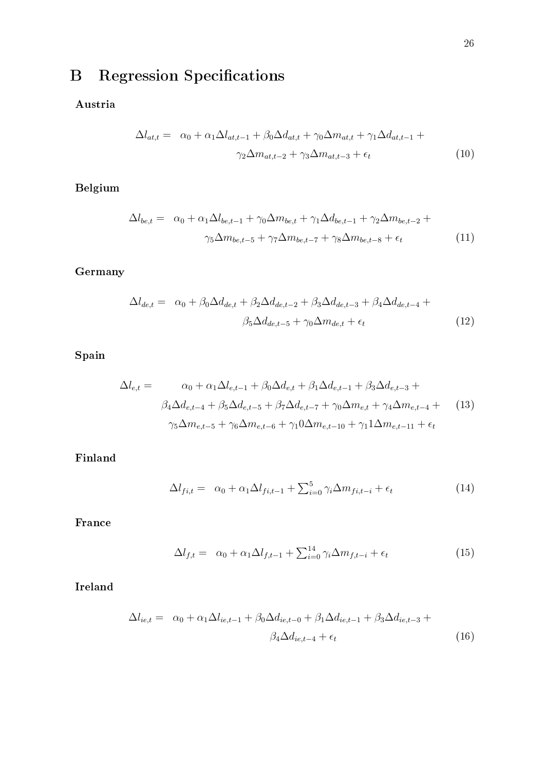# **B** Regression Specifications

Austria

$$
\Delta l_{at,t} = \alpha_0 + \alpha_1 \Delta l_{at,t-1} + \beta_0 \Delta d_{at,t} + \gamma_0 \Delta m_{at,t} + \gamma_1 \Delta d_{at,t-1} +
$$
  

$$
\gamma_2 \Delta m_{at,t-2} + \gamma_3 \Delta m_{at,t-3} + \epsilon_t
$$
 (10)

Belgium

$$
\Delta l_{be,t} = \alpha_0 + \alpha_1 \Delta l_{be,t-1} + \gamma_0 \Delta m_{be,t} + \gamma_1 \Delta d_{be,t-1} + \gamma_2 \Delta m_{be,t-2} +
$$
  

$$
\gamma_5 \Delta m_{be,t-5} + \gamma_7 \Delta m_{be,t-7} + \gamma_8 \Delta m_{be,t-8} + \epsilon_t
$$
 (11)

## Germany

$$
\Delta l_{de,t} = \alpha_0 + \beta_0 \Delta d_{de,t} + \beta_2 \Delta d_{de,t-2} + \beta_3 \Delta d_{de,t-3} + \beta_4 \Delta d_{de,t-4} +
$$
  

$$
\beta_5 \Delta d_{de,t-5} + \gamma_0 \Delta m_{de,t} + \epsilon_t
$$
 (12)

Spain

$$
\Delta l_{e,t} = \alpha_0 + \alpha_1 \Delta l_{e,t-1} + \beta_0 \Delta d_{e,t} + \beta_1 \Delta d_{e,t-1} + \beta_3 \Delta d_{e,t-3} +
$$
  

$$
\beta_4 \Delta d_{e,t-4} + \beta_5 \Delta d_{e,t-5} + \beta_7 \Delta d_{e,t-7} + \gamma_0 \Delta m_{e,t} + \gamma_4 \Delta m_{e,t-4} +
$$
  

$$
\gamma_5 \Delta m_{e,t-5} + \gamma_6 \Delta m_{e,t-6} + \gamma_1 0 \Delta m_{e,t-10} + \gamma_1 1 \Delta m_{e,t-11} + \epsilon_t
$$
 (13)

Finland

$$
\Delta l_{fi,t} = \alpha_0 + \alpha_1 \Delta l_{fi,t-1} + \sum_{i=0}^{5} \gamma_i \Delta m_{fi,t-i} + \epsilon_t
$$
\n(14)

France

$$
\Delta l_{f,t} = \alpha_0 + \alpha_1 \Delta l_{f,t-1} + \sum_{i=0}^{14} \gamma_i \Delta m_{f,t-i} + \epsilon_t \tag{15}
$$

Ireland

$$
\Delta l_{ie,t} = \alpha_0 + \alpha_1 \Delta l_{ie,t-1} + \beta_0 \Delta d_{ie,t-0} + \beta_1 \Delta d_{ie,t-1} + \beta_3 \Delta d_{ie,t-3} +
$$
  

$$
\beta_4 \Delta d_{ie,t-4} + \epsilon_t
$$
 (16)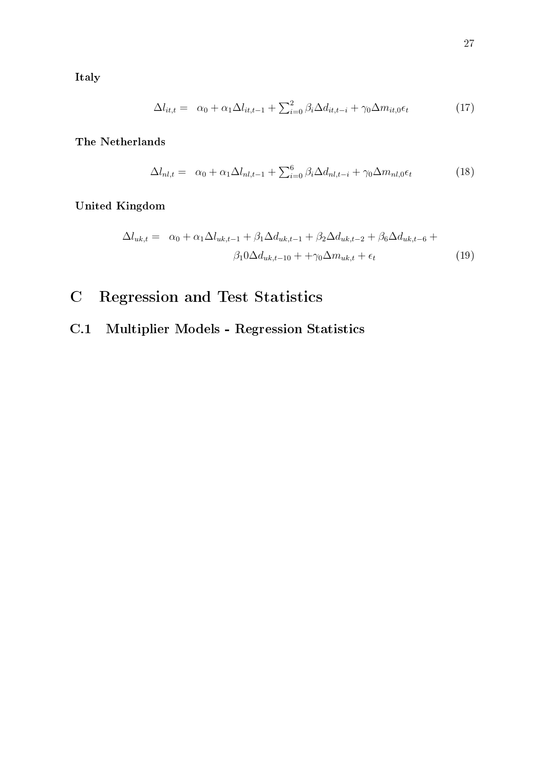Italy

$$
\Delta l_{it,t} = \alpha_0 + \alpha_1 \Delta l_{it,t-1} + \sum_{i=0}^2 \beta_i \Delta d_{it,t-i} + \gamma_0 \Delta m_{it,0} \epsilon_t
$$
\n(17)

The Netherlands

$$
\Delta l_{nl,t} = \alpha_0 + \alpha_1 \Delta l_{nl,t-1} + \sum_{i=0}^{6} \beta_i \Delta d_{nl,t-i} + \gamma_0 \Delta m_{nl,0} \epsilon_t \tag{18}
$$

United Kingdom

$$
\Delta l_{uk,t} = \alpha_0 + \alpha_1 \Delta l_{uk,t-1} + \beta_1 \Delta d_{uk,t-1} + \beta_2 \Delta d_{uk,t-2} + \beta_6 \Delta d_{uk,t-6} +
$$
  

$$
\beta_1 0 \Delta d_{uk,t-10} + \gamma_0 \Delta m_{uk,t} + \epsilon_t
$$
 (19)

- C Regression and Test Statistics
- C.1 Multiplier Models Regression Statistics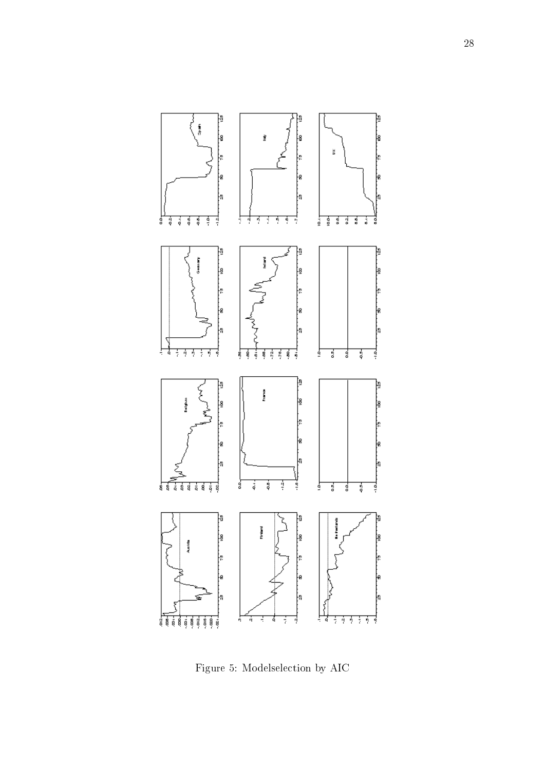

<span id="page-33-0"></span>Figure 5: Modelselection by AIC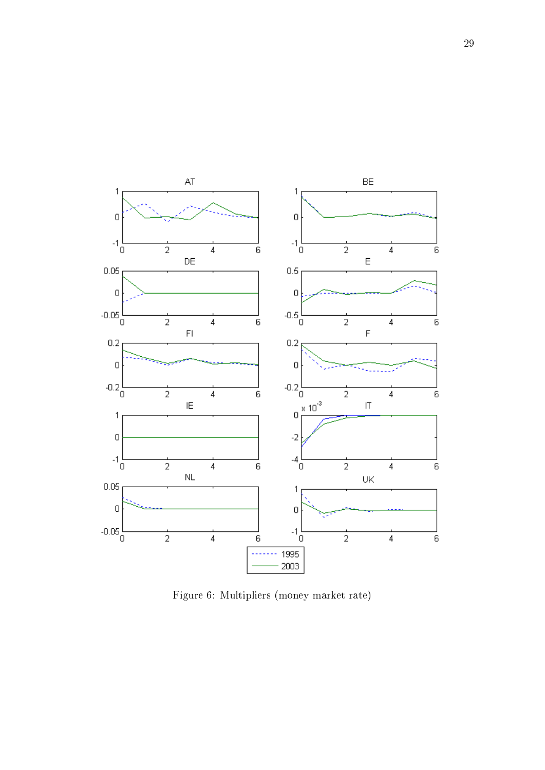

<span id="page-34-0"></span>Figure 6: Multipliers (money market rate)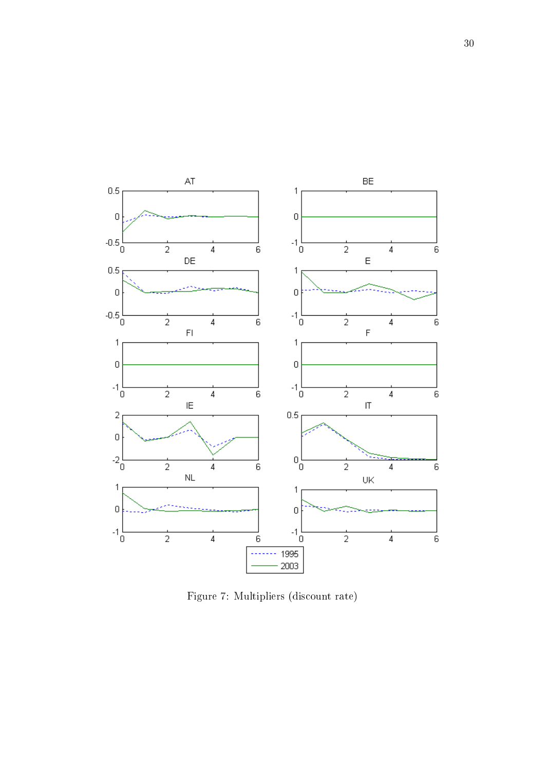

<span id="page-35-0"></span>Figure 7: Multipliers (discount rate)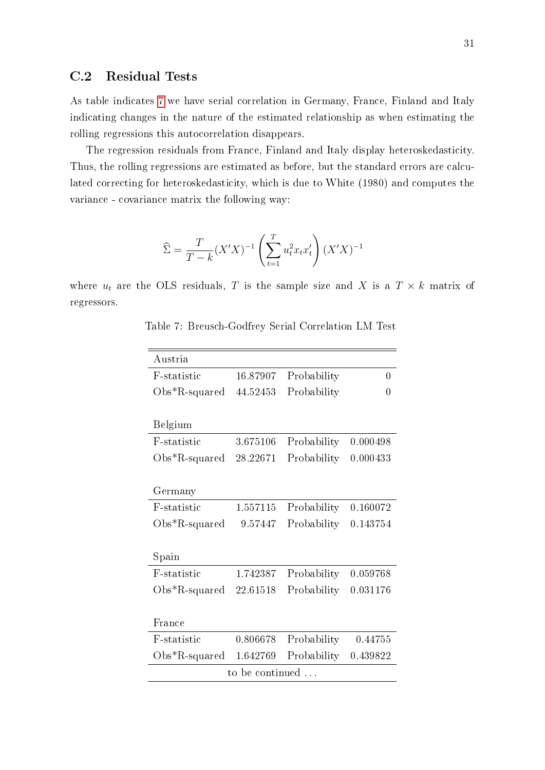### C.2 Residual Tests

As table indicates [7](#page-36-0) we have serial correlation in Germany, France, Finland and Italy indicating changes in the nature of the estimated relationship as when estimating the rolling regressions this autocorrelation disappears.

The regression residuals from France, Finland and Italy display heteroskedasticity. Thus, the rolling regressions are estimated as before, but the standard errors are calculated correcting for heteroskedasticity, which is due to White (1980) and computes the variance - covariance matrix the following way:

$$
\widehat{\Sigma} = \frac{T}{T-k} (X'X)^{-1} \left( \sum_{t=1}^T u_t^2 x_t x_t' \right) (X'X)^{-1}
$$

<span id="page-36-0"></span>where  $u_t$  are the OLS residuals, T is the sample size and X is a  $T \times k$  matrix of regressors.

| Austria           |          |             |          |  |  |
|-------------------|----------|-------------|----------|--|--|
| F-statistic       | 16.87907 | Probability | 0        |  |  |
| $Obs*R$ -squared  | 44.52453 | Probability | 0        |  |  |
|                   |          |             |          |  |  |
| Belgium           |          |             |          |  |  |
| F-statistic       | 3.675106 | Probability | 0.000498 |  |  |
| $Obs^*R$ -squared | 28.22671 | Probability | 0.000433 |  |  |
|                   |          |             |          |  |  |
| Germany           |          |             |          |  |  |
| F-statistic       | 1.557115 | Probability | 0.160072 |  |  |
| $Obs*R$ -squared  | 9.57447  | Probability | 0.143754 |  |  |
|                   |          |             |          |  |  |
| Spain             |          |             |          |  |  |
| F-statistic       | 1.742387 | Probability | 0.059768 |  |  |
| $Obs*R$ -squared  | 22.61518 | Probability | 0.031176 |  |  |
|                   |          |             |          |  |  |
| France            |          |             |          |  |  |
| F-statistic       | 0.806678 | Probability | 0.44755  |  |  |
| $Obs*R$ -squared  | 1.642769 | Probability | 0.439822 |  |  |
| to be continued   |          |             |          |  |  |

Table 7: Breusch-Godfrey Serial Correlation LM Test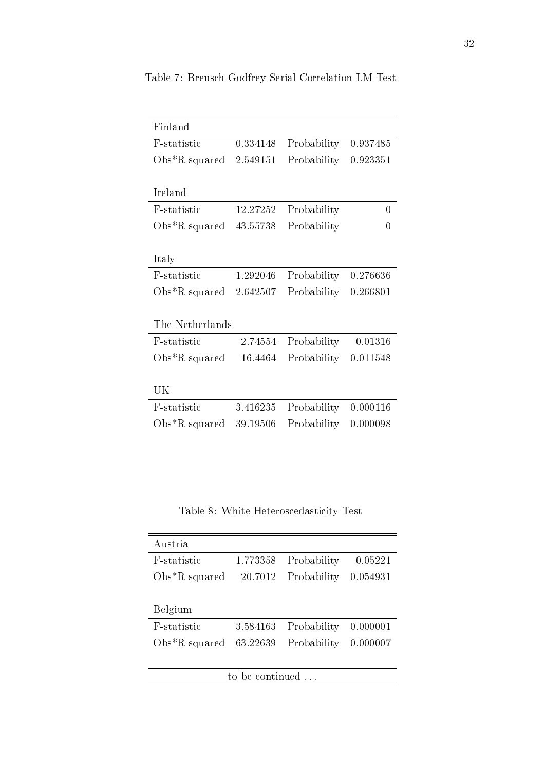| Finland           |          |             |          |
|-------------------|----------|-------------|----------|
| F-statistic       | 0.334148 | Probability | 0.937485 |
| $Obs^*R$ -squared | 2.549151 | Probability | 0.923351 |
|                   |          |             |          |
| Ireland           |          |             |          |
| F-statistic       | 12.27252 | Probability | 0        |
| $Obs^*R$ -squared | 43.55738 | Probability | 0        |
|                   |          |             |          |
| Italy             |          |             |          |
| F-statistic       | 1.292046 | Probability | 0.276636 |
| $Obs*R$ -squared  | 2.642507 | Probability | 0.266801 |
|                   |          |             |          |
| The Netherlands   |          |             |          |
| F-statistic       | 2.74554  | Probability | 0.01316  |
| $Obs*R$ -squared  | 16.4464  | Probability | 0.011548 |
|                   |          |             |          |
| UK                |          |             |          |
| F-statistic       | 3.416235 | Probability | 0.000116 |
| $Obs*R$ -squared  | 39.19506 | Probability | 0.000098 |

Table 7: Breusch-Godfrey Serial Correlation LM Test

Table 8: White Heteroscedasticity Test

| Austria                  |          |             |          |
|--------------------------|----------|-------------|----------|
| F-statistic              | 1.773358 | Probability | 0.05221  |
| $Obs*R$ -squared         | 20.7012  | Probability | 0.054931 |
|                          |          |             |          |
| Belgium                  |          |             |          |
| F-statistic              | 3.584163 | Probability | 0.000001 |
| $Obs*R$ -squared         | 63.22639 | Probability | 0.000007 |
|                          |          |             |          |
| to be continued $\ldots$ |          |             |          |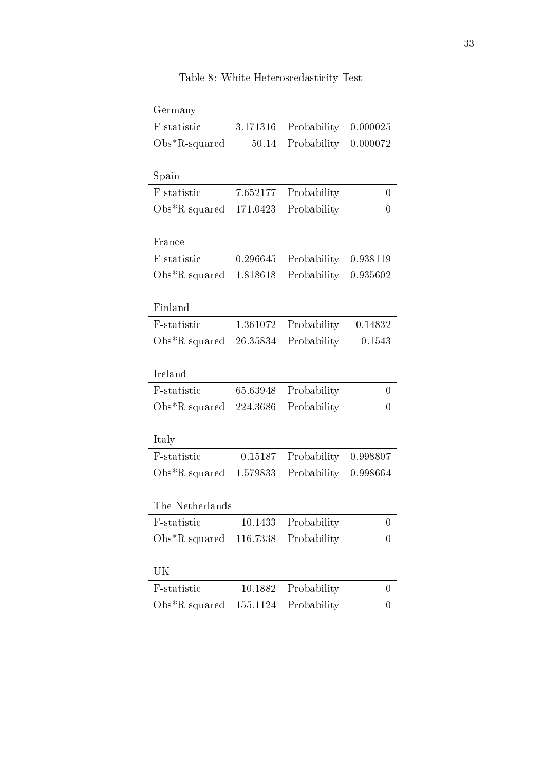| Germany<br>F-statistic | 3.171316 |             | 0.000025       |
|------------------------|----------|-------------|----------------|
|                        |          | Probability |                |
| $Obs*R$ -squared       | 50.14    | Probability | 0.000072       |
| Spain                  |          |             |                |
| F-statistic            | 7.652177 | Probability | 0              |
| $Obs*R$ -squared       | 171.0423 | Probability | $\overline{0}$ |
| France                 |          |             |                |
| F-statistic            | 0.296645 | Probability | 0.938119       |
| $Obs*R$ -squared       | 1.818618 | Probability | 0.935602       |
| Finland                |          |             |                |
| F-statistic            | 1.361072 | Probability | 0.14832        |
| $Obs*R$ -squared       | 26.35834 | Probability | 0.1543         |
| Ireland                |          |             |                |
| F-statistic            | 65.63948 | Probability | 0              |
| $Obs*R$ -squared       | 224.3686 | Probability | 0              |
| Italy                  |          |             |                |
| F-statistic            | 0.15187  | Probability | 0.998807       |
| $Obs*R$ -squared       | 1.579833 | Probability | 0.998664       |
| The Netherlands        |          |             |                |
| F-statistic            | 10.1433  | Probability | 0              |
| $Obs*R$ -squared       | 116.7338 | Probability | 0              |
| UK                     |          |             |                |
| F-statistic            | 10.1882  | Probability | 0              |
| $Obs*R$ -squared       | 155.1124 | Probability | 0              |
|                        |          |             |                |

Table 8: White Heteroscedasticity Test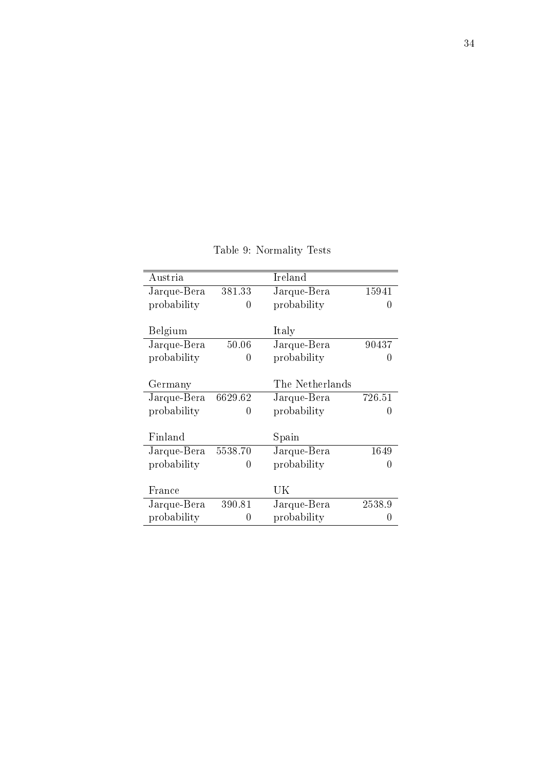| Austria     |         | Ireland         |        |
|-------------|---------|-----------------|--------|
| Jarque-Bera | 381.33  | Jarque-Bera     | 15941  |
| probability | 0       | probability     | 0      |
|             |         |                 |        |
| Belgium     |         | Italy           |        |
| Jarque-Bera | 50.06   | Jarque-Bera     | 90437  |
| probability | 0       | probability     |        |
|             |         |                 |        |
| Germany     |         | The Netherlands |        |
| Jarque-Bera | 6629.62 | Jarque-Bera     | 726.51 |
| probability | 0       | probability     | 0      |
|             |         |                 |        |
| Finland     |         | Spain           |        |
| Jarque-Bera | 5538.70 | Jarque-Bera     | 1649   |
| probability | 0       | probability     | 0      |
|             |         |                 |        |
| France      |         | UK              |        |
| Jarque-Bera | 390.81  | Jarque-Bera     | 2538.9 |
| probability | 0       | probability     |        |

Table 9: Normality Tests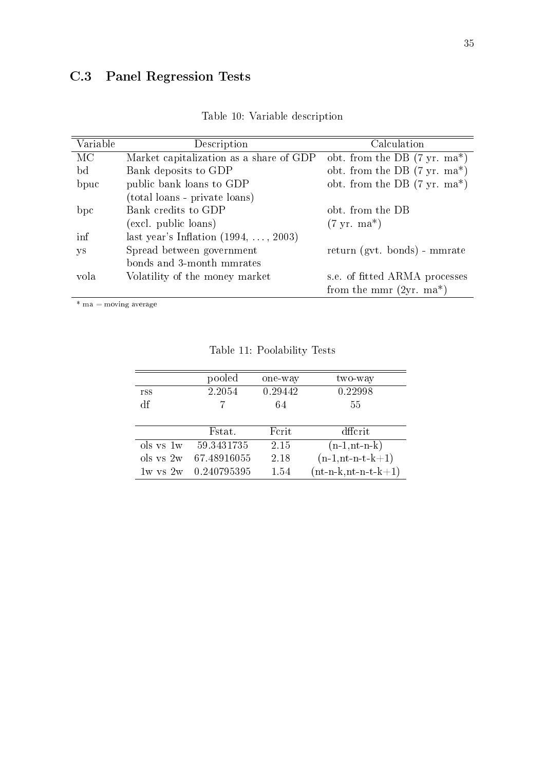## C.3 Panel Regression Tests

| Variable | Description                                  | Calculation                                     |
|----------|----------------------------------------------|-------------------------------------------------|
| MС       | Market capitalization as a share of GDP      | obt. from the DB $(7 \text{ yr.} \text{ma*})$   |
| bd       | Bank deposits to GDP                         | obt. from the DB $(7 \text{ yr.} \text{ ma}^*)$ |
| bpuc     | public bank loans to GDP                     | obt. from the DB $(7 \text{ yr.} \text{ ma}^*)$ |
|          | (total loans - private loans)                |                                                 |
| bpc      | Bank credits to GDP                          | obt from the DB                                 |
|          | (excl. public loans)                         | $(7 \text{ yr.} \text{ma*})$                    |
| inf      | last year's Inflation $(1994, \ldots, 2003)$ |                                                 |
| уs       | Spread between government                    | return (gvt. bonds) - mmrate                    |
|          | bonds and 3-month mmrates                    |                                                 |
| vola     | Volatility of the money market               | s.e. of fitted ARMA processes                   |
|          |                                              | from the mmr $(2yr. ma^*)$                      |

|  |  |  | Table 10: Variable description |
|--|--|--|--------------------------------|
|--|--|--|--------------------------------|

 $*$  ma = moving average

|              | pooled      | one-way | two-way                |
|--------------|-------------|---------|------------------------|
| rss          | 2.2054      | 0.29442 | 0.22998                |
| df           |             | 64      | 55                     |
|              |             |         |                        |
|              | Fstat.      | Ferit   | dffcrit                |
| ols vs 1w    | 59.3431735  | 2.15    | $(n-1,nt-n-k)$         |
| ols vs 2w    | 67.48916055 | 2.18    | $(n-1,n-t-k+1)$        |
| $1w$ vs $2w$ | 0.240795395 | 1.54    | $(nt-n-k, nt-n-t-k+1)$ |

<span id="page-40-0"></span>Table 11: Poolability Tests